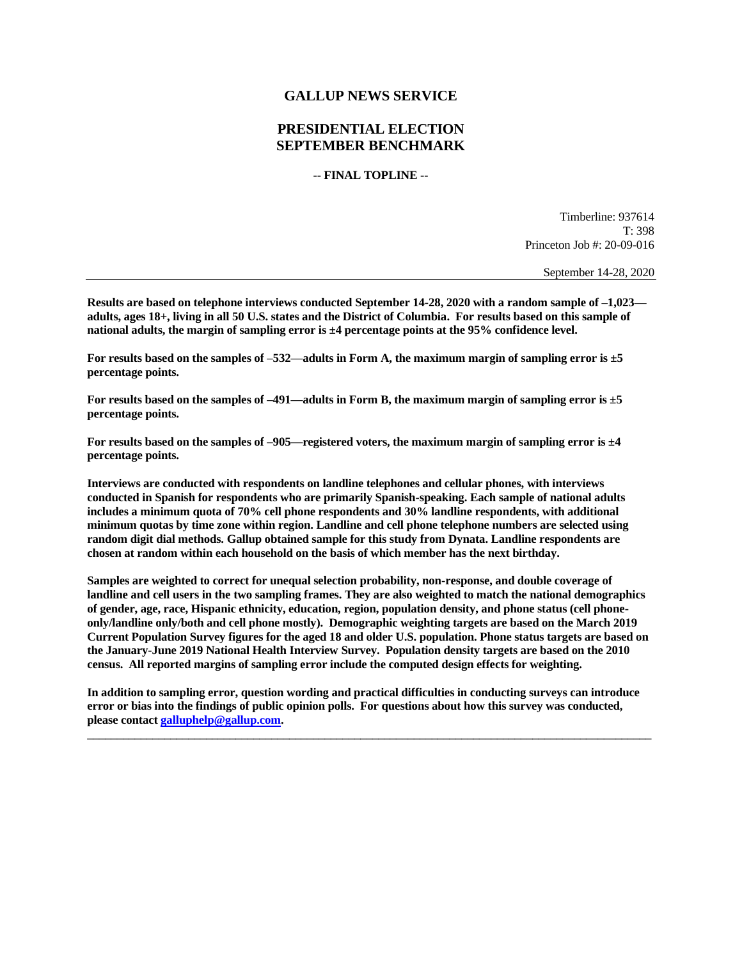## **GALLUP NEWS SERVICE**

## **PRESIDENTIAL ELECTION SEPTEMBER BENCHMARK**

**-- FINAL TOPLINE --**

Timberline: 937614 T: 398 Princeton Job #: 20-09-016

September 14-28, 2020

**Results are based on telephone interviews conducted September 14-28, 2020 with a random sample of –1,023 adults, ages 18+, living in all 50 U.S. states and the District of Columbia. For results based on this sample of national adults, the margin of sampling error is ±4 percentage points at the 95% confidence level.** 

**For results based on the samples of –532—adults in Form A, the maximum margin of sampling error is ±5 percentage points.**

**For results based on the samples of –491—adults in Form B, the maximum margin of sampling error is ±5 percentage points.**

**For results based on the samples of –905—registered voters, the maximum margin of sampling error is ±4 percentage points.**

**Interviews are conducted with respondents on landline telephones and cellular phones, with interviews conducted in Spanish for respondents who are primarily Spanish-speaking. Each sample of national adults includes a minimum quota of 70% cell phone respondents and 30% landline respondents, with additional minimum quotas by time zone within region. Landline and cell phone telephone numbers are selected using random digit dial methods. Gallup obtained sample for this study from Dynata. Landline respondents are chosen at random within each household on the basis of which member has the next birthday.**

**Samples are weighted to correct for unequal selection probability, non-response, and double coverage of landline and cell users in the two sampling frames. They are also weighted to match the national demographics of gender, age, race, Hispanic ethnicity, education, region, population density, and phone status (cell phoneonly/landline only/both and cell phone mostly). Demographic weighting targets are based on the March 2019 Current Population Survey figures for the aged 18 and older U.S. population. Phone status targets are based on the January-June 2019 National Health Interview Survey. Population density targets are based on the 2010 census. All reported margins of sampling error include the computed design effects for weighting.** 

**In addition to sampling error, question wording and practical difficulties in conducting surveys can introduce error or bias into the findings of public opinion polls. For questions about how this survey was conducted, please contac[t galluphelp@gallup.com.](mailto:galluphelp@gallup.com)**

 $\overline{\phantom{a}}$  , and the contribution of the contribution of the contribution of the contribution of the contribution of the contribution of the contribution of the contribution of the contribution of the contribution of the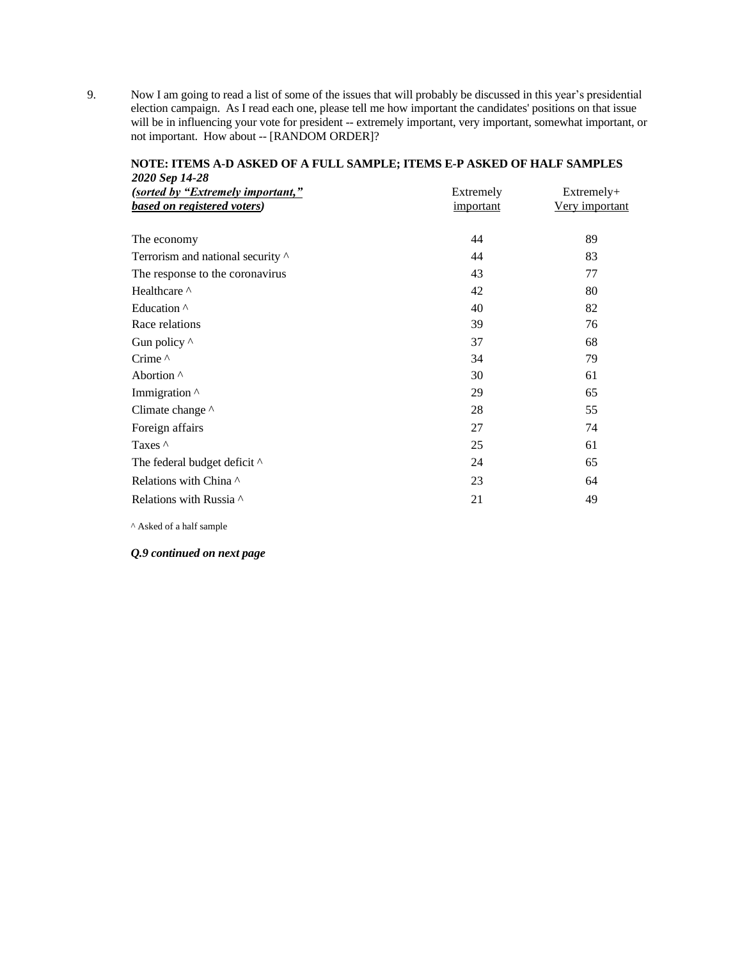9. Now I am going to read a list of some of the issues that will probably be discussed in this year's presidential election campaign. As I read each one, please tell me how important the candidates' positions on that issue will be in influencing your vote for president -- extremely important, very important, somewhat important, or not important. How about -- [RANDOM ORDER]?

| 2020 Sep 14-28                    |           |                       |
|-----------------------------------|-----------|-----------------------|
| (sorted by "Extremely important," | Extremely | Extremely+            |
| based on registered voters)       | important | <u>Very important</u> |
|                                   |           |                       |
| The economy                       | 44        | 89                    |
| Terrorism and national security ^ | 44        | 83                    |
| The response to the coronavirus   | 43        | 77                    |
| Healthcare ^                      | 42        | 80                    |
| Education <sup>^</sup>            | 40        | 82                    |
| Race relations                    | 39        | 76                    |
| Gun policy ^                      | 37        | 68                    |
| Crime ^                           | 34        | 79                    |
| Abortion <sup>^</sup>             | 30        | 61                    |
| Immigration ^                     | 29        | 65                    |
| Climate change ^                  | 28        | 55                    |
| Foreign affairs                   | 27        | 74                    |
| Taxes $\wedge$                    | 25        | 61                    |
| The federal budget deficit ^      | 24        | 65                    |
| Relations with China ^            | 23        | 64                    |
| Relations with Russia ^           | 21        | 49                    |
|                                   |           |                       |

## **NOTE: ITEMS A-D ASKED OF A FULL SAMPLE; ITEMS E-P ASKED OF HALF SAMPLES**

^ Asked of a half sample

## *Q.9 continued on next page*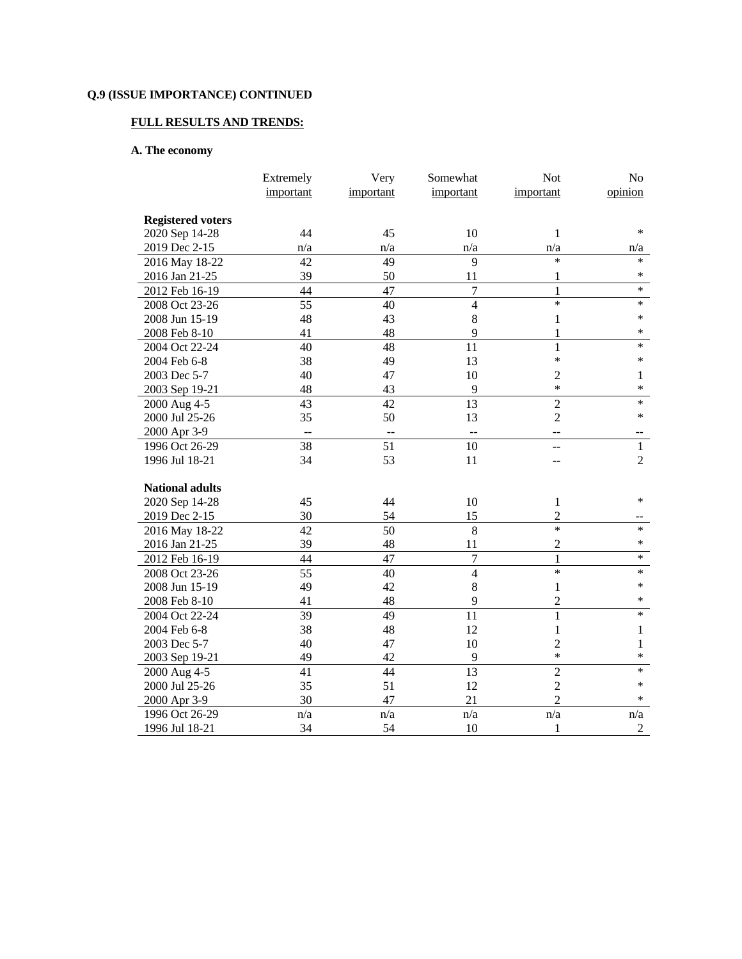# **FULL RESULTS AND TRENDS:**

# **A. The economy**

|                          | Extremely | Very      | Somewhat                 | <b>Not</b>     | No             |
|--------------------------|-----------|-----------|--------------------------|----------------|----------------|
|                          | important | important | important                | important      | opinion        |
|                          |           |           |                          |                |                |
| <b>Registered voters</b> |           |           |                          |                |                |
| 2020 Sep 14-28           | 44        | 45        | 10                       | 1              | $\ast$         |
| 2019 Dec 2-15            | n/a       | n/a       | n/a                      | n/a            | n/a            |
| 2016 May 18-22           | 42        | 49        | 9                        | $\ast$         | $\ast$         |
| 2016 Jan 21-25           | 39        | 50        | 11                       | 1              | $\ast$         |
| 2012 Feb 16-19           | 44        | 47        | $\overline{7}$           | $\mathbf{1}$   | $\ast$         |
| 2008 Oct 23-26           | 55        | 40        | $\overline{4}$           | $\ast$         | $\ast$         |
| 2008 Jun 15-19           | 48        | 43        | $\,8\,$                  | 1              | $\ast$         |
| 2008 Feb 8-10            | 41        | 48        | 9                        | 1              | $\ast$         |
| 2004 Oct 22-24           | 40        | 48        | 11                       | 1              | $\ast$         |
| 2004 Feb 6-8             | 38        | 49        | 13                       | $\ast$         | $\ast$         |
| 2003 Dec 5-7             | 40        | 47        | $10\,$                   | $\overline{c}$ | $\mathbf{1}$   |
| 2003 Sep 19-21           | 48        | 43        | 9                        | $\ast$         | $\ast$         |
| 2000 Aug 4-5             | 43        | 42        | $\overline{13}$          | $\overline{2}$ | $\ast$         |
| 2000 Jul 25-26           | 35        | 50        | 13                       | $\overline{2}$ | $\ast$         |
| 2000 Apr 3-9             |           |           | $\overline{\phantom{a}}$ |                |                |
| 1996 Oct 26-29           | 38        | 51        | 10                       | --             | $\mathbf{1}$   |
| 1996 Jul 18-21           | 34        | 53        | 11                       |                | $\overline{2}$ |
|                          |           |           |                          |                |                |
| <b>National adults</b>   |           |           |                          |                |                |
| 2020 Sep 14-28           | 45        | 44        | 10                       | $\mathbf{1}$   | $\ast$         |
| 2019 Dec 2-15            | 30        | 54        | 15                       | $\overline{c}$ |                |
| 2016 May 18-22           | 42        | 50        | $\overline{8}$           | $\ast$         | $\ast$         |
| 2016 Jan 21-25           | 39        | 48        | 11                       | $\overline{c}$ | $\ast$         |
| 2012 Feb 16-19           | 44        | 47        | $\overline{7}$           | 1              | $\ast$         |
| 2008 Oct 23-26           | 55        | 40        | $\overline{4}$           | $\ast$         | $\ast$         |
| 2008 Jun 15-19           | 49        | 42        | 8                        | $\mathbf{1}$   | $\ast$         |
| 2008 Feb 8-10            | 41        | 48        | 9                        | $\overline{c}$ | $\ast$         |
| 2004 Oct 22-24           | 39        | 49        | 11                       | $\mathbf{1}$   | $\ast$         |
| 2004 Feb 6-8             | 38        | 48        | 12                       | $\mathbf{1}$   | $\mathbf{1}$   |
| 2003 Dec 5-7             | 40        | 47        | 10                       | $\overline{2}$ | 1              |
| 2003 Sep 19-21           | 49        | 42        | 9                        | $\ast$         | $\ast$         |
| 2000 Aug 4-5             | 41        | 44        | 13                       | $\overline{2}$ | $\ast$         |
| 2000 Jul 25-26           | 35        | 51        | 12                       | $\overline{2}$ | $\ast$         |
| 2000 Apr 3-9             | 30        | 47        | 21                       | $\overline{2}$ | $\ast$         |
| 1996 Oct 26-29           | n/a       | n/a       | n/a                      | n/a            | n/a            |
| 1996 Jul 18-21           | 34        | 54        | 10                       | 1              | $\overline{2}$ |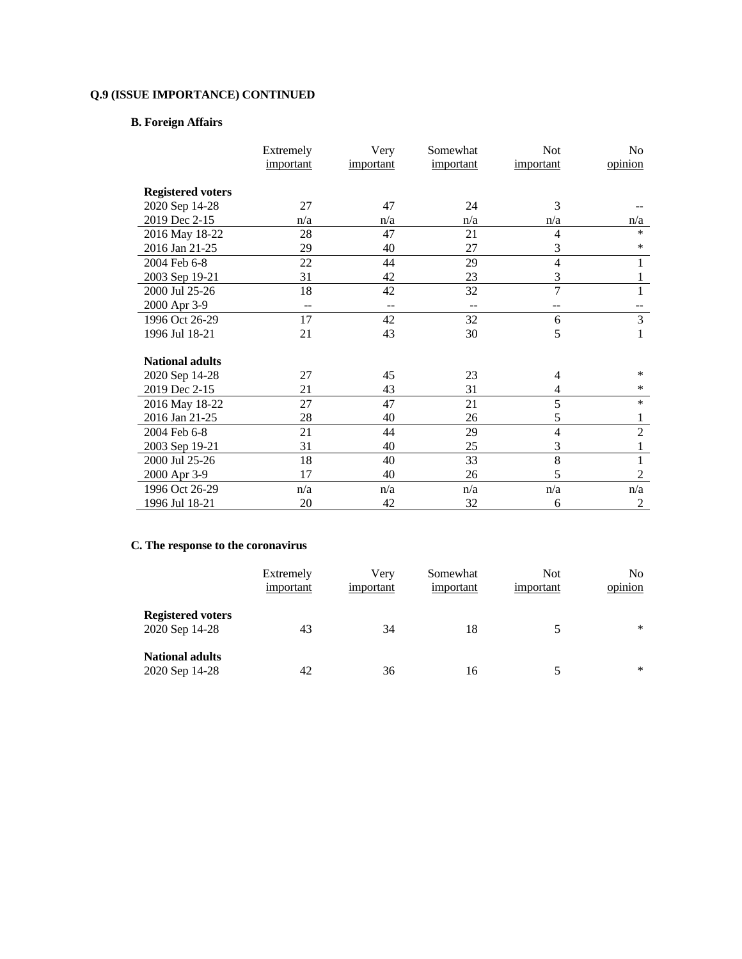# **B. Foreign Affairs**

|                          | Extremely | Very      | Somewhat  | <b>Not</b>     | No             |
|--------------------------|-----------|-----------|-----------|----------------|----------------|
|                          | important | important | important | important      | opinion        |
| <b>Registered voters</b> |           |           |           |                |                |
| 2020 Sep 14-28           | 27        | 47        | 24        | 3              |                |
| 2019 Dec 2-15            | n/a       | n/a       | n/a       | n/a            | n/a            |
| 2016 May 18-22           | 28        | 47        | 21        | 4              | $\ast$         |
| 2016 Jan 21-25           | 29        | 40        | 27        | 3              | $\ast$         |
| 2004 Feb 6-8             | 22        | 44        | 29        | 4              | 1              |
| 2003 Sep 19-21           | 31        | 42        | 23        | 3              | 1              |
| 2000 Jul 25-26           | 18        | 42        | 32        | $\overline{7}$ | 1              |
| 2000 Apr 3-9             | $- -$     | --        | --        | $-$            |                |
| 1996 Oct 26-29           | 17        | 42        | 32        | 6              | 3              |
| 1996 Jul 18-21           | 21        | 43        | 30        | 5              | 1              |
| <b>National adults</b>   |           |           |           |                |                |
| 2020 Sep 14-28           | 27        | 45        | 23        | 4              | $\ast$         |
| 2019 Dec 2-15            | 21        | 43        | 31        | 4              | $\ast$         |
| 2016 May 18-22           | 27        | 47        | 21        | 5              | $\ast$         |
| 2016 Jan 21-25           | 28        | 40        | 26        | 5              | 1              |
| 2004 Feb 6-8             | 21        | 44        | 29        | $\overline{4}$ | $\overline{2}$ |
| 2003 Sep 19-21           | 31        | 40        | 25        | 3              | 1              |
| 2000 Jul 25-26           | 18        | 40        | 33        | 8              | 1              |
| 2000 Apr 3-9             | 17        | 40        | 26        | 5              | $\overline{2}$ |
| 1996 Oct 26-29           | n/a       | n/a       | n/a       | n/a            | n/a            |
| 1996 Jul 18-21           | 20        | 42        | 32        | 6              | $\overline{c}$ |

## **C. The response to the coronavirus**

|                                            | Extremely<br>important | Verv<br>important | Somewhat<br>important | <b>Not</b><br>important | No<br>opinion |
|--------------------------------------------|------------------------|-------------------|-----------------------|-------------------------|---------------|
| <b>Registered voters</b><br>2020 Sep 14-28 | 43                     | 34                | 18                    |                         | $\ast$        |
| <b>National adults</b><br>2020 Sep 14-28   | 42                     | 36                | 16                    | 5                       | $\ast$        |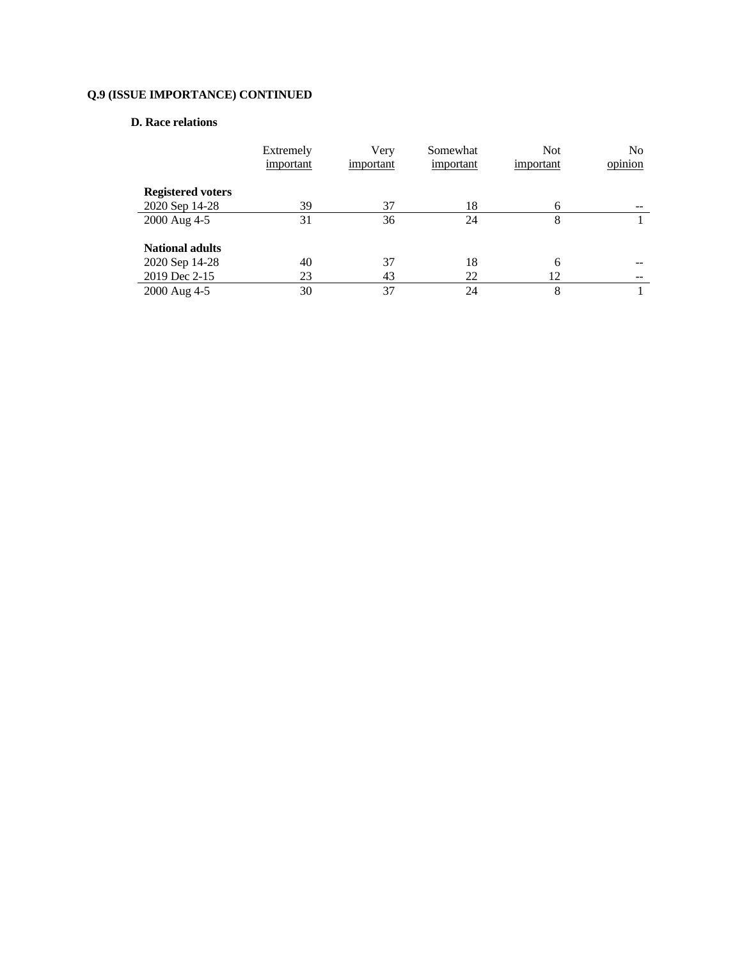## **D. Race relations**

|                          | Extremely<br>important | Very<br>important | Somewhat<br>important | <b>Not</b><br>important | No<br>opinion |
|--------------------------|------------------------|-------------------|-----------------------|-------------------------|---------------|
| <b>Registered voters</b> |                        |                   |                       |                         |               |
| 2020 Sep 14-28           | 39                     | 37                | 18                    | 6                       |               |
| 2000 Aug 4-5             | 31                     | 36                | 24                    | 8                       |               |
| <b>National adults</b>   |                        |                   |                       |                         |               |
| 2020 Sep 14-28           | 40                     | 37                | 18                    | 6                       |               |
| 2019 Dec 2-15            | 23                     | 43                | 22                    | 12                      |               |
| 2000 Aug 4-5             | 30                     | 37                | 24                    | 8                       |               |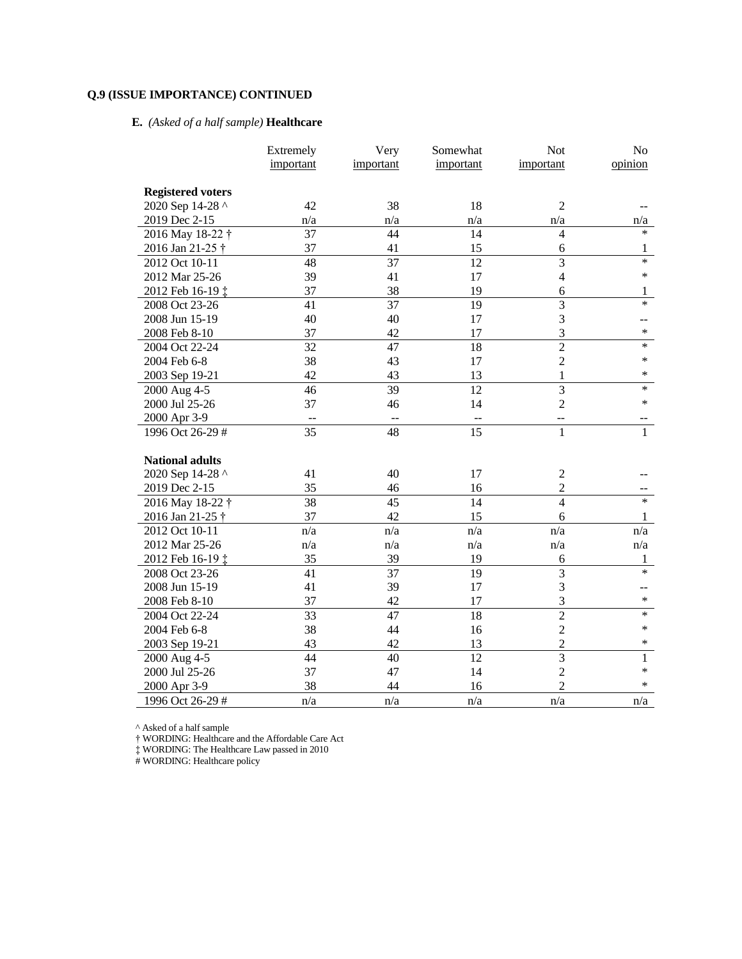# **E.** *(Asked of a half sample)* **Healthcare**

|                             | Extremely | Very      | Somewhat  | Not            | No           |
|-----------------------------|-----------|-----------|-----------|----------------|--------------|
|                             | important | important | important | important      | opinion      |
|                             |           |           |           |                |              |
| <b>Registered voters</b>    |           |           |           |                |              |
| 2020 Sep 14-28 ^            | 42        | 38        | 18        | $\overline{2}$ |              |
| 2019 Dec 2-15               | n/a       | n/a       | n/a       | n/a            | n/a          |
| 2016 May 18-22 <sup>†</sup> | 37        | 44        | 14        | $\overline{4}$ | *            |
| 2016 Jan 21-25 †            | 37        | 41        | 15        | 6              | 1            |
| 2012 Oct 10-11              | 48        | 37        | 12        | $\overline{3}$ | $\ast$       |
| 2012 Mar 25-26              | 39        | 41        | 17        | $\overline{4}$ | $\ast$       |
| 2012 Feb 16-19 ‡            | 37        | 38        | 19        | 6              | 1            |
| 2008 Oct 23-26              | 41        | 37        | 19        | 3              | $\ast$       |
| 2008 Jun 15-19              | 40        | 40        | 17        | $\mathfrak{Z}$ | --           |
| 2008 Feb 8-10               | 37        | 42        | 17        | 3              | $\ast$       |
| 2004 Oct 22-24              | 32        | 47        | 18        | $\overline{2}$ | *            |
| 2004 Feb 6-8                | 38        | 43        | 17        | $\sqrt{2}$     | *            |
| 2003 Sep 19-21              | 42        | 43        | 13        | $\mathbf{1}$   | *            |
| 2000 Aug 4-5                | 46        | 39        | 12        | 3              | $\ast$       |
| 2000 Jul 25-26              | 37        | 46        | 14        | $\overline{2}$ | $\ast$       |
| 2000 Apr 3-9                | --        | --        | $- \, -$  | $-$            |              |
| 1996 Oct 26-29 #            | 35        | 48        | 15        | $\mathbf{1}$   | $\mathbf{1}$ |
|                             |           |           |           |                |              |
| <b>National adults</b>      |           |           |           |                |              |
| 2020 Sep 14-28 ^            | 41        | 40        | 17        | $\sqrt{2}$     |              |
| 2019 Dec 2-15               | 35        | 46        | 16        | $\overline{2}$ |              |
| 2016 May 18-22 <sup>†</sup> | 38        | 45        | 14        | $\overline{4}$ | *            |
| 2016 Jan 21-25 †            | 37        | 42        | 15        | 6              | 1            |
| 2012 Oct 10-11              | n/a       | n/a       | n/a       | n/a            | n/a          |
| 2012 Mar 25-26              | n/a       | n/a       | n/a       | n/a            | n/a          |
| 2012 Feb 16-19 ‡            | 35        | 39        | 19        | 6              | 1            |
| 2008 Oct 23-26              | 41        | 37        | 19        | 3              | $\ast$       |
| 2008 Jun 15-19              | 41        | 39        | 17        | 3              | --           |
| 2008 Feb 8-10               | 37        | 42        | 17        | 3              | $\ast$       |
| 2004 Oct 22-24              | 33        | 47        | 18        | $\overline{2}$ | $\ast$       |
| 2004 Feb 6-8                | 38        | 44        | 16        | $\overline{2}$ | $\ast$       |
| 2003 Sep 19-21              | 43        | 42        | 13        | $\overline{2}$ | *            |
| 2000 Aug 4-5                | 44        | 40        | 12        | $\overline{3}$ | 1            |
| 2000 Jul 25-26              | 37        | 47        | 14        | $\overline{2}$ | ∗            |
| 2000 Apr 3-9                | 38        | 44        | 16        | $\overline{2}$ | *            |
| 1996 Oct 26-29 #            | n/a       | n/a       | n/a       | n/a            | n/a          |

^ Asked of a half sample

† WORDING: Healthcare and the Affordable Care Act

‡ WORDING: The Healthcare Law passed in 2010

# WORDING: Healthcare policy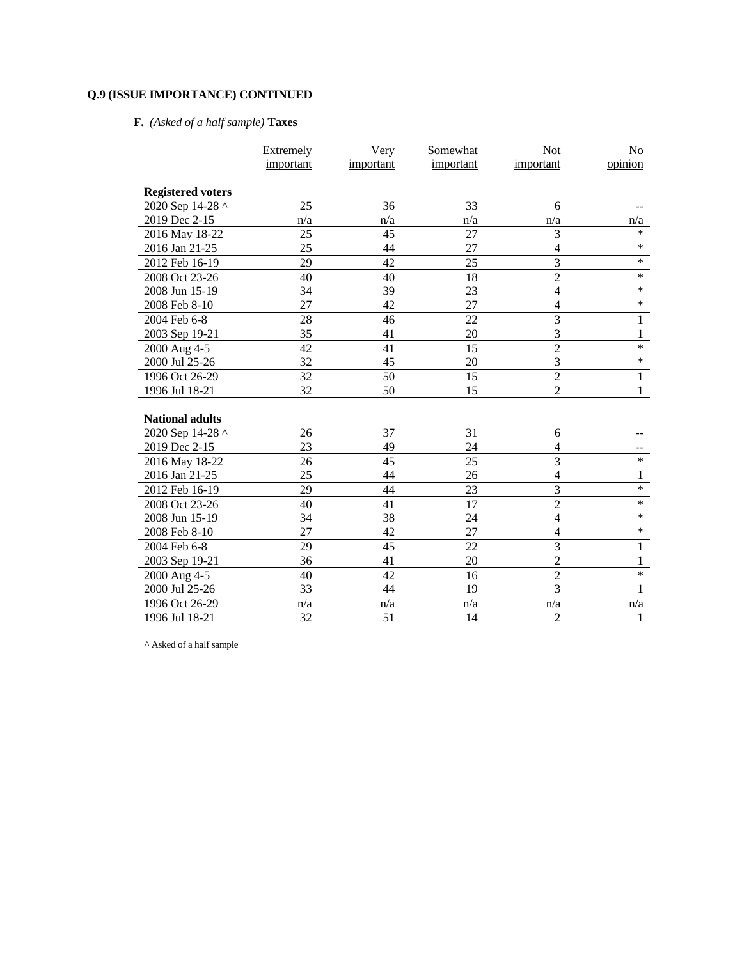# **F.** *(Asked of a half sample)* **Taxes**

|                          | Extremely | Very      | Somewhat  | Not                     | N <sub>o</sub> |
|--------------------------|-----------|-----------|-----------|-------------------------|----------------|
|                          | important | important | important | important               | opinion        |
|                          |           |           |           |                         |                |
| <b>Registered voters</b> |           |           |           |                         |                |
| 2020 Sep 14-28 ^         | 25        | 36        | 33        | 6                       |                |
| 2019 Dec 2-15            | n/a       | n/a       | n/a       | n/a                     | n/a            |
| 2016 May 18-22           | 25        | 45        | 27        | 3                       | $\ast$         |
| 2016 Jan 21-25           | 25        | 44        | 27        | 4                       | $\ast$         |
| 2012 Feb 16-19           | 29        | 42        | 25        | $\overline{3}$          | $\ast$         |
| 2008 Oct 23-26           | 40        | 40        | 18        | $\overline{2}$          | $\ast$         |
| 2008 Jun 15-19           | 34        | 39        | 23        | $\overline{4}$          | $\ast$         |
| 2008 Feb 8-10            | 27        | 42        | 27        | 4                       | $\ast$         |
| 2004 Feb 6-8             | 28        | 46        | 22        | $\overline{3}$          | 1              |
| 2003 Sep 19-21           | 35        | 41        | 20        | 3                       | 1              |
| 2000 Aug 4-5             | 42        | 41        | 15        | $\overline{2}$          | $\ast$         |
| 2000 Jul 25-26           | 32        | 45        | 20        | 3                       | $\ast$         |
| 1996 Oct 26-29           | 32        | 50        | 15        | $\overline{2}$          | $\mathbf{1}$   |
| 1996 Jul 18-21           | 32        | 50        | 15        | $\overline{2}$          | 1              |
|                          |           |           |           |                         |                |
| <b>National adults</b>   |           |           |           |                         |                |
| 2020 Sep 14-28 ^         | 26        | 37        | 31        | 6                       |                |
| 2019 Dec 2-15            | 23        | 49        | 24        | 4                       |                |
| 2016 May 18-22           | 26        | 45        | 25        | 3                       | $\ast$         |
| 2016 Jan 21-25           | 25        | 44        | 26        | 4                       | 1              |
| 2012 Feb 16-19           | 29        | 44        | 23        | 3                       | $\ast$         |
| 2008 Oct 23-26           | 40        | 41        | 17        | $\overline{2}$          | $\ast$         |
| 2008 Jun 15-19           | 34        | 38        | 24        | $\overline{\mathbf{4}}$ | $\ast$         |
| 2008 Feb 8-10            | 27        | 42        | 27        | $\overline{4}$          | $\ast$         |
| 2004 Feb 6-8             | 29        | 45        | 22        | $\overline{3}$          | $\mathbf{1}$   |
| 2003 Sep 19-21           | 36        | 41        | 20        | $\overline{2}$          | $\mathbf{1}$   |
| 2000 Aug 4-5             | 40        | 42        | 16        | $\overline{2}$          | $\ast$         |
| 2000 Jul 25-26           | 33        | 44        | 19        | $\overline{3}$          | 1              |
| 1996 Oct 26-29           | n/a       | n/a       | n/a       | n/a                     | n/a            |
| 1996 Jul 18-21           | 32        | 51        | 14        | $\overline{2}$          | 1              |

^ Asked of a half sample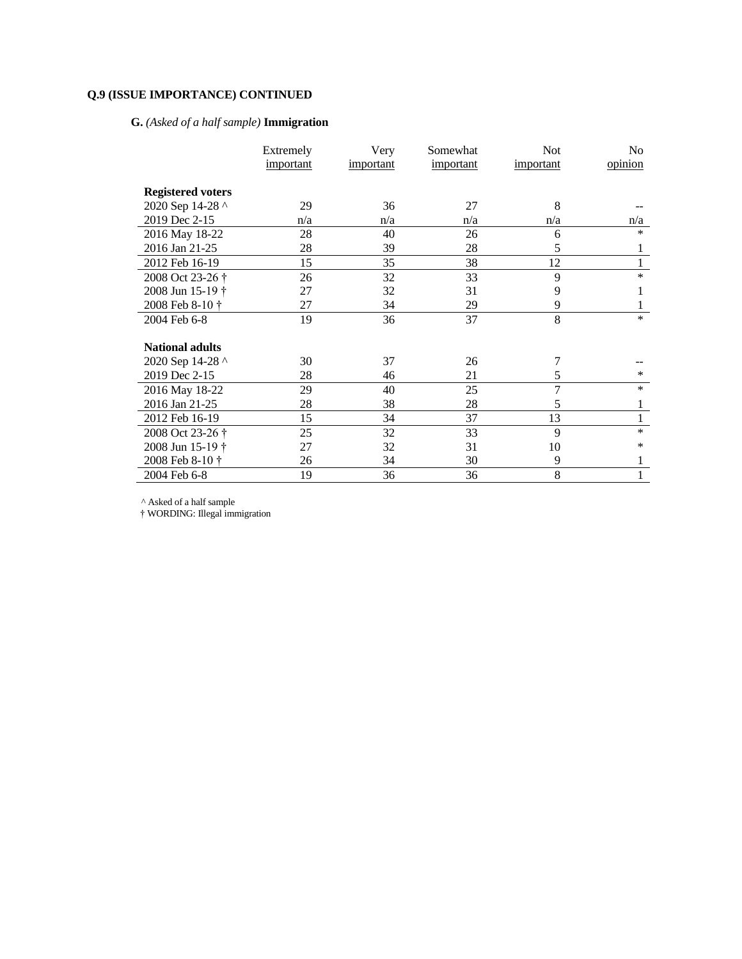# **G.** *(Asked of a half sample)* **Immigration**

|                          | Extremely | Very      | Somewhat  | <b>Not</b>     | No      |
|--------------------------|-----------|-----------|-----------|----------------|---------|
|                          | important | important | important | important      | opinion |
|                          |           |           |           |                |         |
| <b>Registered voters</b> |           |           |           |                |         |
| 2020 Sep 14-28 ^         | 29        | 36        | 27        | 8              |         |
| 2019 Dec 2-15            | n/a       | n/a       | n/a       | n/a            | n/a     |
| 2016 May 18-22           | 28        | 40        | 26        | 6              | $\ast$  |
| 2016 Jan 21-25           | 28        | 39        | 28        | 5              |         |
| 2012 Feb 16-19           | 15        | 35        | 38        | 12             |         |
| 2008 Oct 23-26 †         | 26        | 32        | 33        | 9              | $\ast$  |
| 2008 Jun 15-19 †         | 27        | 32        | 31        | 9              | 1       |
| 2008 Feb 8-10 †          | 27        | 34        | 29        | 9              |         |
| 2004 Feb 6-8             | 19        | 36        | 37        | 8              | $\ast$  |
|                          |           |           |           |                |         |
| <b>National adults</b>   |           |           |           |                |         |
| 2020 Sep 14-28 ^         | 30        | 37        | 26        | 7              |         |
| 2019 Dec 2-15            | 28        | 46        | 21        | 5              | *       |
| 2016 May 18-22           | 29        | 40        | 25        | $\overline{7}$ | $\ast$  |
| 2016 Jan 21-25           | 28        | 38        | 28        | 5              | 1       |
| 2012 Feb 16-19           | 15        | 34        | 37        | 13             | 1       |
| 2008 Oct 23-26 †         | 25        | 32        | 33        | 9              | $\ast$  |
| 2008 Jun 15-19 †         | 27        | 32        | 31        | 10             | *       |
| 2008 Feb 8-10 †          | 26        | 34        | 30        | 9              | 1       |
| 2004 Feb 6-8             | 19        | 36        | 36        | 8              | 1       |

^ Asked of a half sample

† WORDING: Illegal immigration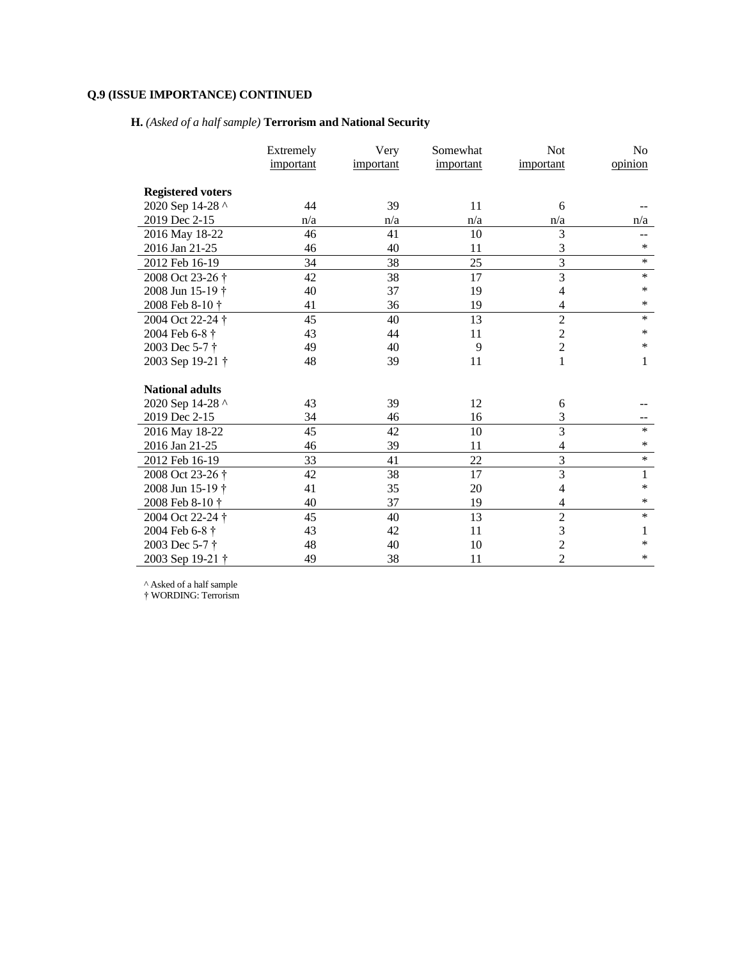# **H.** *(Asked of a half sample)* **Terrorism and National Security**

|                          | Extremely | Very      | Somewhat  | <b>Not</b>     | N <sub>o</sub> |
|--------------------------|-----------|-----------|-----------|----------------|----------------|
|                          | important | important | important | important      | opinion        |
| <b>Registered voters</b> |           |           |           |                |                |
| 2020 Sep 14-28 ^         | 44        | 39        | 11        | 6              |                |
| 2019 Dec 2-15            | n/a       | n/a       | n/a       | n/a            | n/a            |
| 2016 May 18-22           | 46        | 41        | 10        | 3              |                |
| 2016 Jan 21-25           | 46        | 40        | 11        | 3              | *              |
| 2012 Feb 16-19           | 34        | 38        | 25        | $\overline{3}$ | $\ast$         |
| 2008 Oct 23-26 †         | 42        | 38        | 17        | 3              | $\ast$         |
| 2008 Jun 15-19 †         | 40        | 37        | 19        | 4              | *              |
| 2008 Feb 8-10 †          | 41        | 36        | 19        | 4              | *              |
| 2004 Oct 22-24 †         | 45        | 40        | 13        | $\overline{2}$ | $\ast$         |
| 2004 Feb 6-8 †           | 43        | 44        | 11        | $\overline{c}$ | *              |
| 2003 Dec 5-7 †           | 49        | 40        | 9         | $\overline{c}$ | $\ast$         |
| 2003 Sep 19-21 †         | 48        | 39        | 11        | 1              | 1              |
| <b>National adults</b>   |           |           |           |                |                |
| 2020 Sep 14-28 ^         | 43        | 39        | 12        | 6              |                |
| 2019 Dec 2-15            | 34        | 46        | 16        | 3              |                |
| 2016 May 18-22           | 45        | 42        | 10        | 3              | $\ast$         |
| 2016 Jan 21-25           | 46        | 39        | 11        | 4              | *              |
| 2012 Feb 16-19           | 33        | 41        | 22        | 3              | $\ast$         |
| 2008 Oct 23-26 †         | 42        | 38        | 17        | $\overline{3}$ | $\mathbf 1$    |
| 2008 Jun 15-19 †         | 41        | 35        | 20        | 4              | *              |
| 2008 Feb 8-10 †          | 40        | 37        | 19        | 4              | *              |
| 2004 Oct 22-24 †         | 45        | 40        | 13        | $\overline{2}$ | $\ast$         |
| 2004 Feb 6-8 †           | 43        | 42        | 11        | 3              | 1              |
| 2003 Dec 5-7 †           | 48        | 40        | 10        | $\overline{c}$ | *              |
| 2003 Sep 19-21 †         | 49        | 38        | 11        | $\overline{2}$ | *              |

^ Asked of a half sample

† WORDING: Terrorism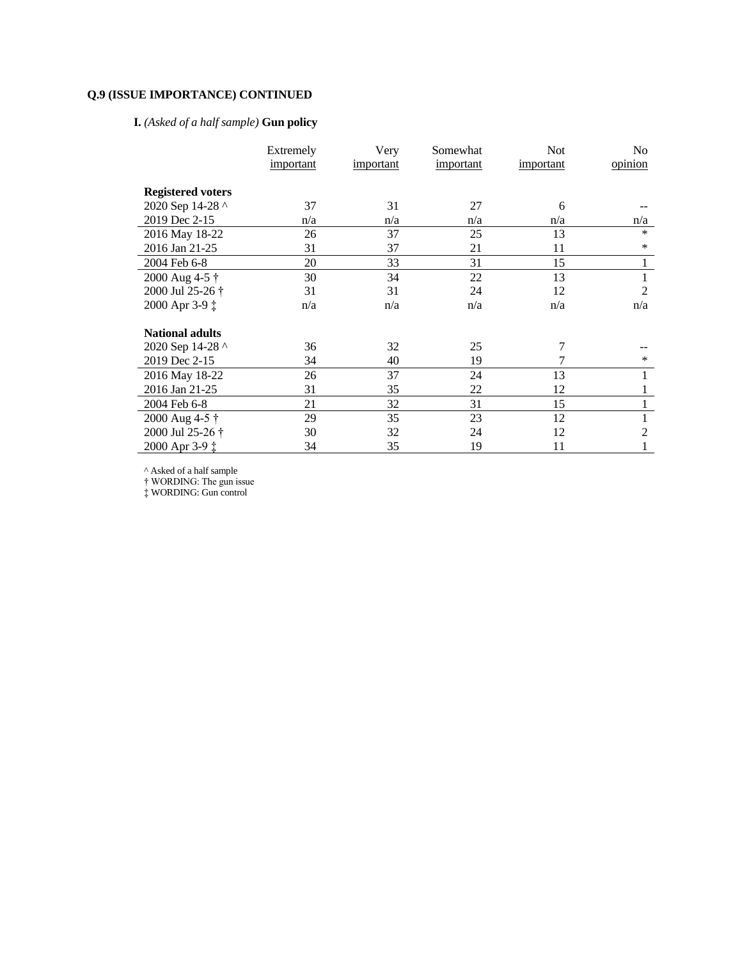# **I.** *(Asked of a half sample)* **Gun policy**

|                          | Extremely | Very      | Somewhat  | <b>Not</b> | No             |
|--------------------------|-----------|-----------|-----------|------------|----------------|
|                          | important | important | important | important  | opinion        |
| <b>Registered voters</b> |           |           |           |            |                |
| 2020 Sep 14-28 ^         | 37        | 31        | 27        | 6          |                |
| 2019 Dec 2-15            | n/a       | n/a       | n/a       | n/a        | n/a            |
| 2016 May 18-22           | 26        | 37        | 25        | 13         | $\ast$         |
| 2016 Jan 21-25           | 31        | 37        | 21        | 11         | *              |
| 2004 Feb 6-8             | 20        | 33        | 31        | 15         | 1              |
| 2000 Aug 4-5 †           | 30        | 34        | 22        | 13         | 1              |
| 2000 Jul 25-26 †         | 31        | 31        | 24        | 12         | $\overline{2}$ |
| 2000 Apr 3-9 ‡           | n/a       | n/a       | n/a       | n/a        | n/a            |
| <b>National adults</b>   |           |           |           |            |                |
| 2020 Sep 14-28 ^         | 36        | 32        | 25        | 7          |                |
| 2019 Dec 2-15            | 34        | 40        | 19        |            | ∗              |
| 2016 May 18-22           | 26        | 37        | 24        | 13         |                |
| 2016 Jan 21-25           | 31        | 35        | 22        | 12         | 1              |
| 2004 Feb 6-8             | 21        | 32        | 31        | 15         | 1              |
| 2000 Aug 4-5 †           | 29        | 35        | 23        | 12         | 1              |
| 2000 Jul 25-26 †         | 30        | 32        | 24        | 12         | 2              |
| 2000 Apr 3-9 ‡           | 34        | 35        | 19        | 11         |                |

^ Asked of a half sample

† WORDING: The gun issue

‡ WORDING: Gun control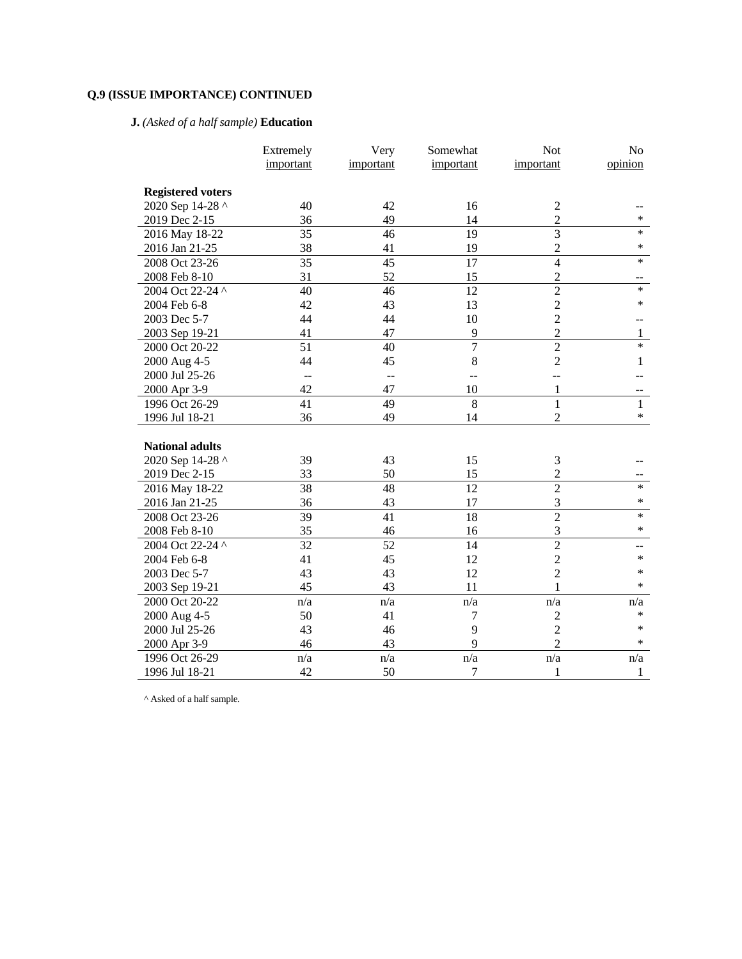# **J.** *(Asked of a half sample)* **Education**

|                          | Extremely | Very           | Somewhat                | <b>Not</b>     | No           |
|--------------------------|-----------|----------------|-------------------------|----------------|--------------|
|                          | important | important      | important               | important      | opinion      |
|                          |           |                |                         |                |              |
| <b>Registered voters</b> |           |                |                         |                |              |
| 2020 Sep 14-28 ^         | 40        | 42             | 16                      | $\sqrt{2}$     |              |
| 2019 Dec 2-15            | 36        | 49             | 14                      | $\overline{c}$ | $\ast$       |
| 2016 May 18-22           | 35        | 46             | 19                      | $\overline{3}$ | $\ast$       |
| 2016 Jan 21-25           | 38        | 41             | 19                      | $\overline{2}$ | $\ast$       |
| 2008 Oct 23-26           | 35        | 45             | 17                      | $\overline{4}$ | $\ast$       |
| 2008 Feb 8-10            | 31        | 52             | 15                      | $\overline{c}$ |              |
| 2004 Oct 22-24 ^         | 40        | 46             | 12                      | $\overline{2}$ | $\ast$       |
| 2004 Feb 6-8             | 42        | 43             | 13                      | $\overline{c}$ | $\ast$       |
| 2003 Dec 5-7             | 44        | 44             | 10                      | $\overline{c}$ |              |
| 2003 Sep 19-21           | 41        | 47             | 9                       | $\overline{2}$ | $\mathbf{1}$ |
| 2000 Oct 20-22           | 51        | 40             | $\overline{7}$          | $\overline{2}$ | $\ast$       |
| 2000 Aug 4-5             | 44        | 45             | 8                       | $\overline{2}$ | 1            |
| 2000 Jul 25-26           | --        | $\overline{a}$ | $-$                     |                |              |
| 2000 Apr 3-9             | 42        | 47             | 10                      | $\mathbf{1}$   |              |
| 1996 Oct 26-29           | 41        | 49             | $\overline{8}$          | $\mathbf{1}$   | $\mathbf{1}$ |
| 1996 Jul 18-21           | 36        | 49             | 14                      | $\overline{2}$ | $\ast$       |
|                          |           |                |                         |                |              |
| <b>National adults</b>   |           |                |                         |                |              |
| 2020 Sep 14-28 ^         | 39        | 43             | 15                      | 3              |              |
| 2019 Dec 2-15            | 33        | 50             | 15                      | $\overline{2}$ |              |
| 2016 May 18-22           | 38        | 48             | 12                      | $\overline{2}$ | $\ast$       |
| 2016 Jan 21-25           | 36        | 43             | 17                      | 3              | *            |
| 2008 Oct 23-26           | 39        | 41             | 18                      | $\overline{2}$ | $\ast$       |
| 2008 Feb 8-10            | 35        | 46             | 16                      | 3              | $\ast$       |
| 2004 Oct 22-24 ^         | 32        | 52             | 14                      | $\overline{2}$ | --           |
| 2004 Feb 6-8             | 41        | 45             | 12                      | $\overline{2}$ | $\ast$       |
| 2003 Dec 5-7             | 43        | 43             | 12                      | $\overline{c}$ | $\ast$       |
| 2003 Sep 19-21           | 45        | 43             | 11                      | $\mathbf{1}$   | $\ast$       |
| 2000 Oct 20-22           | n/a       | n/a            | $\mathrm{n}/\mathrm{a}$ | n/a            | n/a          |
| 2000 Aug 4-5             | 50        | 41             | 7                       | $\overline{2}$ | $\ast$       |
| 2000 Jul 25-26           | 43        | 46             | 9                       | $\overline{2}$ | $\ast$       |
| 2000 Apr 3-9             | 46        | 43             | 9                       | $\overline{2}$ | $\ast$       |
| 1996 Oct 26-29           | n/a       | n/a            | n/a                     | n/a            | n/a          |
| 1996 Jul 18-21           | 42        | 50             | $\tau$                  | 1              | 1            |

 $^\wedge$  Asked of a half sample.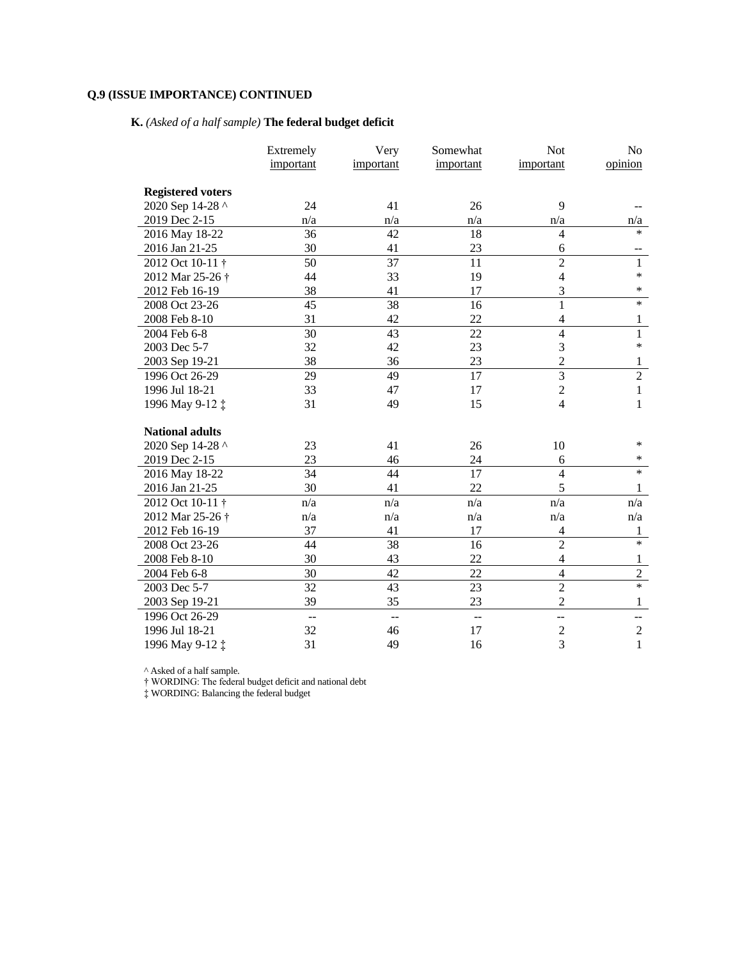# **K.** *(Asked of a half sample)* **The federal budget deficit**

|                             | Extremely      | Very           | Somewhat     | Not                                                              | No             |
|-----------------------------|----------------|----------------|--------------|------------------------------------------------------------------|----------------|
|                             | important      | important      | important    | important                                                        | opinion        |
|                             |                |                |              |                                                                  |                |
| <b>Registered voters</b>    |                |                |              |                                                                  |                |
| 2020 Sep 14-28 ^            | 24             | 41             | 26           | 9                                                                |                |
| 2019 Dec 2-15               | n/a            | n/a            | n/a          | n/a                                                              | n/a            |
| 2016 May 18-22              | 36             | 42             | 18           | $\overline{4}$                                                   | $\ast$         |
| 2016 Jan 21-25              | 30             | 41             | 23           | 6                                                                |                |
| 2012 Oct 10-11 <sup>+</sup> | 50             | 37             | 11           | $\overline{2}$                                                   | 1              |
| 2012 Mar 25-26 <sup>+</sup> | 44             | 33             | 19           | $\overline{4}$                                                   | *              |
| 2012 Feb 16-19              | 38             | 41             | 17           | 3                                                                | *              |
| 2008 Oct 23-26              | 45             | 38             | 16           | $\mathbf{1}$                                                     | $\ast$         |
| 2008 Feb 8-10               | 31             | 42             | 22           | $\overline{4}$                                                   | 1              |
| 2004 Feb 6-8                | 30             | 43             | 22           | $\overline{4}$                                                   | $\mathbf{1}$   |
| 2003 Dec 5-7                | 32             | 42             | 23           | 3                                                                | *              |
| 2003 Sep 19-21              | 38             | 36             | 23           | $\overline{c}$                                                   | $\mathbf{1}$   |
| 1996 Oct 26-29              | 29             | 49             | 17           | $\overline{3}$                                                   | $\overline{c}$ |
| 1996 Jul 18-21              | 33             | 47             | 17           | $\overline{c}$                                                   | $\mathbf{1}$   |
| 1996 May 9-12 ‡             | 31             | 49             | 15           | $\overline{4}$                                                   | 1              |
|                             |                |                |              |                                                                  |                |
| <b>National adults</b>      |                |                |              |                                                                  |                |
| 2020 Sep 14-28 ^            | 23             | 41             | 26           | 10                                                               | *              |
| 2019 Dec 2-15               | 23             | 46             | 24           | 6                                                                | *              |
| 2016 May 18-22              | 34             | 44             | 17           | $\overline{4}$                                                   | *              |
| 2016 Jan 21-25              | 30             | 41             | 22           | 5                                                                | 1              |
| 2012 Oct 10-11 <sup>+</sup> | n/a            | n/a            | n/a          | n/a                                                              | n/a            |
| 2012 Mar 25-26 <sup>+</sup> | n/a            | n/a            | n/a          | n/a                                                              | n/a            |
| 2012 Feb 16-19              | 37             | 41             | 17           | $\overline{4}$                                                   | 1              |
| 2008 Oct 23-26              | 44             | 38             | 16           | $\overline{2}$                                                   | $\ast$         |
| 2008 Feb 8-10               | 30             | 43             | 22           | $\overline{4}$                                                   | $\mathbf{1}$   |
| 2004 Feb 6-8                | 30             | 42             | 22           | $\overline{4}$                                                   | $\overline{c}$ |
| 2003 Dec 5-7                | 32             | 43             | 23           | $\overline{c}$                                                   | $\ast$         |
| 2003 Sep 19-21              | 39             | 35             | 23           | $\overline{2}$                                                   | $\mathbf{1}$   |
| 1996 Oct 26-29              | $\overline{a}$ | $\overline{a}$ | $\mathbf{u}$ | --                                                               | --             |
| 1996 Jul 18-21              | 32             | 46             | 17           | $\mathfrak{2}% _{T}=\mathfrak{2}_{T}\!\left( T_{T_{1}}\right) ,$ | $\overline{2}$ |
| 1996 May 9-12 ‡             | 31             | 49             | 16           | 3                                                                | $\mathbf{1}$   |

^ Asked of a half sample.

† WORDING: The federal budget deficit and national debt

‡ WORDING: Balancing the federal budget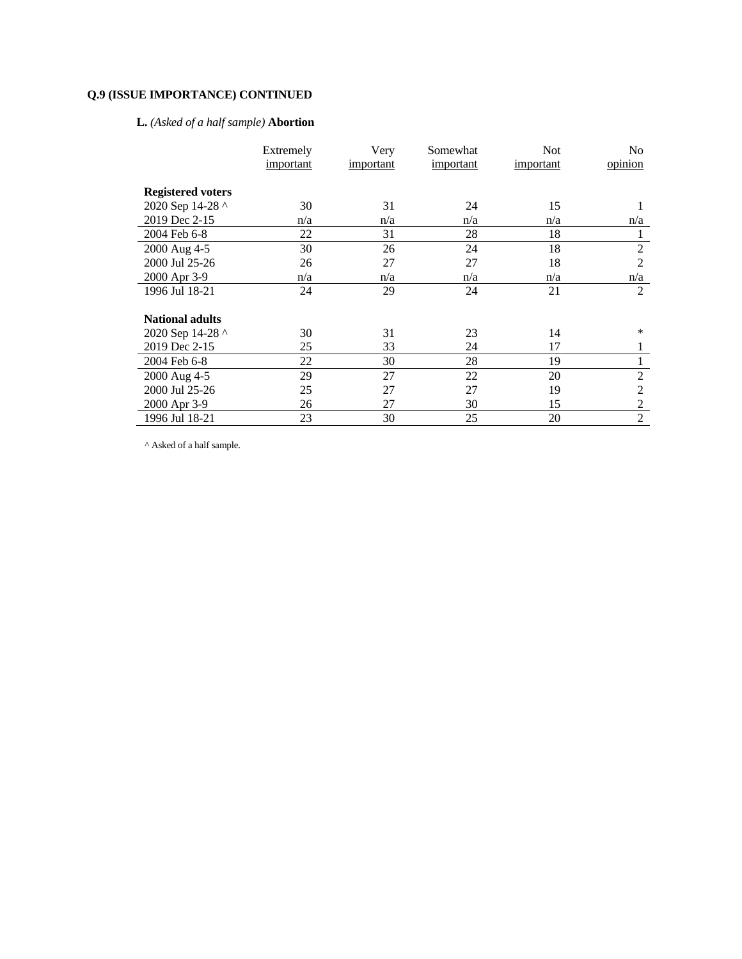# **L.** *(Asked of a half sample)* **Abortion**

|                          | Extremely | Very      | Somewhat  | <b>Not</b> | No             |
|--------------------------|-----------|-----------|-----------|------------|----------------|
|                          | important | important | important | important  | opinion        |
|                          |           |           |           |            |                |
| <b>Registered voters</b> |           |           |           |            |                |
| 2020 Sep 14-28 ^         | 30        | 31        | 24        | 15         |                |
| 2019 Dec 2-15            | n/a       | n/a       | n/a       | n/a        | n/a            |
| 2004 Feb 6-8             | 22        | 31        | 28        | 18         | 1              |
| 2000 Aug 4-5             | 30        | 26        | 24        | 18         | $\overline{2}$ |
| 2000 Jul 25-26           | 26        | 27        | 27        | 18         | $\overline{2}$ |
| 2000 Apr 3-9             | n/a       | n/a       | n/a       | n/a        | n/a            |
| 1996 Jul 18-21           | 24        | 29        | 24        | 21         | 2              |
|                          |           |           |           |            |                |
| <b>National adults</b>   |           |           |           |            |                |
| 2020 Sep 14-28 ^         | 30        | 31        | 23        | 14         | $\ast$         |
| 2019 Dec 2-15            | 25        | 33        | 24        | 17         | 1              |
| 2004 Feb 6-8             | 22        | 30        | 28        | 19         | 1              |
| 2000 Aug 4-5             | 29        | 27        | 22        | 20         | $\overline{2}$ |
| 2000 Jul 25-26           | 25        | 27        | 27        | 19         | 2              |
| 2000 Apr 3-9             | 26        | 27        | 30        | 15         | $\overline{2}$ |
| 1996 Jul 18-21           | 23        | 30        | 25        | 20         | $\overline{2}$ |

 $^\wedge$  Asked of a half sample.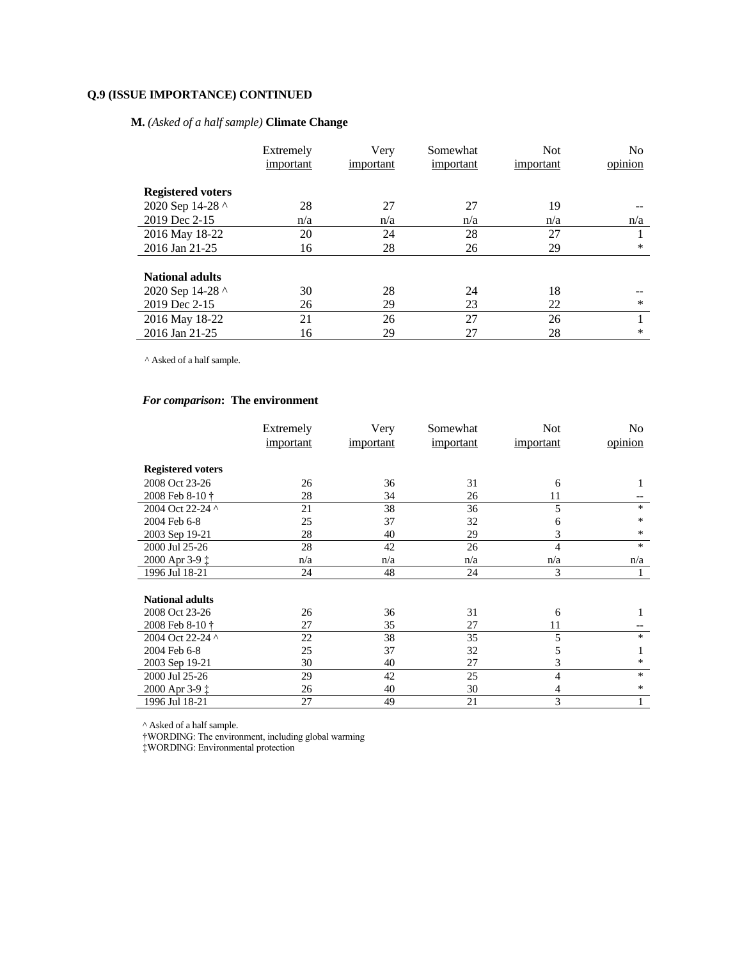## **M.** *(Asked of a half sample)* **Climate Change**

|                          | Extremely<br>important | Very<br>important | Somewhat<br>important | <b>Not</b><br>important | No<br>opinion |
|--------------------------|------------------------|-------------------|-----------------------|-------------------------|---------------|
|                          |                        |                   |                       |                         |               |
| <b>Registered voters</b> |                        |                   |                       |                         |               |
| 2020 Sep 14-28 ^         | 28                     | 27                | 27                    | 19                      |               |
| 2019 Dec 2-15            | n/a                    | n/a               | n/a                   | n/a                     | n/a           |
| 2016 May 18-22           | 20                     | 24                | 28                    | 27                      |               |
| 2016 Jan 21-25           | 16                     | 28                | 26                    | 29                      | *             |
|                          |                        |                   |                       |                         |               |
| <b>National adults</b>   |                        |                   |                       |                         |               |
| 2020 Sep 14-28 ^         | 30                     | 28                | 24                    | 18                      |               |
| 2019 Dec 2-15            | 26                     | 29                | 23                    | 22                      | $\ast$        |
| 2016 May 18-22           | 21                     | 26                | 27                    | 26                      |               |
| 2016 Jan 21-25           | 16                     | 29                | 27                    | 28                      | $\ast$        |

 $^\wedge$  Asked of a half sample.

## *For comparison***: The environment**

|                          | Extremely | Very      | Somewhat  | <b>Not</b> | No      |
|--------------------------|-----------|-----------|-----------|------------|---------|
|                          | important | important | important | important  | opinion |
|                          |           |           |           |            |         |
| <b>Registered voters</b> |           |           |           |            |         |
| 2008 Oct 23-26           | 26        | 36        | 31        | 6          | 1       |
| 2008 Feb 8-10 †          | 28        | 34        | 26        | 11         |         |
| 2004 Oct 22-24 ^         | 21        | 38        | 36        | 5          | $\ast$  |
| 2004 Feb 6-8             | 25        | 37        | 32        | 6          | *       |
| 2003 Sep 19-21           | 28        | 40        | 29        | 3          | *       |
| 2000 Jul 25-26           | 28        | 42        | 26        | 4          | $\ast$  |
| 2000 Apr 3-9 ‡           | n/a       | n/a       | n/a       | n/a        | n/a     |
| 1996 Jul 18-21           | 24        | 48        | 24        | 3          |         |
|                          |           |           |           |            |         |
| <b>National adults</b>   |           |           |           |            |         |
| 2008 Oct 23-26           | 26        | 36        | 31        | 6          | 1       |
| 2008 Feb 8-10 †          | 27        | 35        | 27        | 11         |         |
| 2004 Oct 22-24 ^         | 22        | 38        | 35        | 5          | $\ast$  |
| 2004 Feb 6-8             | 25        | 37        | 32        | 5          | 1       |
| 2003 Sep 19-21           | 30        | 40        | 27        | 3          | *       |
| 2000 Jul 25-26           | 29        | 42        | 25        | 4          | $\ast$  |
| 2000 Apr 3-9 ‡           | 26        | 40        | 30        | 4          | *       |
| 1996 Jul 18-21           | 27        | 49        | 21        | 3          | 1       |

^ Asked of a half sample.

†WORDING: The environment, including global warming

‡WORDING: Environmental protection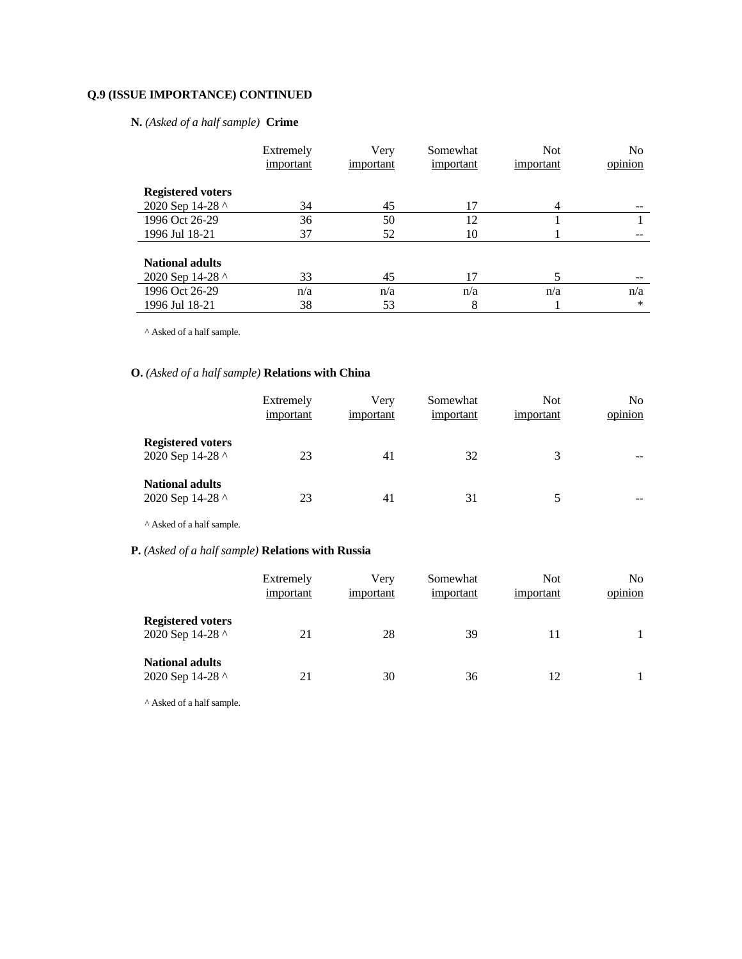## **N.** *(Asked of a half sample)* **Crime**

|                          | Extremely | Very      | Somewhat  | <b>Not</b> | N <sub>0</sub> |
|--------------------------|-----------|-----------|-----------|------------|----------------|
|                          | important | important | important | important  | opinion        |
| <b>Registered voters</b> |           |           |           |            |                |
| 2020 Sep 14-28 ^         | 34        | 45        | 17        | 4          |                |
| 1996 Oct 26-29           | 36        | 50        | 12        |            |                |
| 1996 Jul 18-21           | 37        | 52        | 10        |            |                |
| <b>National adults</b>   |           |           |           |            |                |
| 2020 Sep 14-28 ^         | 33        | 45        | 17        |            |                |
| 1996 Oct 26-29           | n/a       | n/a       | n/a       | n/a        | n/a            |
| 1996 Jul 18-21           | 38        | 53        | 8         |            | $\ast$         |

 $^\wedge$  Asked of a half sample.

## **O.** *(Asked of a half sample)* **Relations with China**

|                                              | Extremely<br>important | Very<br>important | Somewhat<br>important | <b>Not</b><br>important | N <sub>0</sub><br>$\cdot$ $\cdot$<br>opinion |
|----------------------------------------------|------------------------|-------------------|-----------------------|-------------------------|----------------------------------------------|
| <b>Registered voters</b><br>2020 Sep 14-28 ^ | 23                     | 41                | 32                    | 3                       | --                                           |
| <b>National adults</b><br>2020 Sep 14-28 ^   | 23                     | 41                | 31                    |                         | --                                           |

 $^\wedge$  Asked of a half sample.

## **P.** *(Asked of a half sample)* **Relations with Russia**

|                                              | Extremely<br>important | Very<br>important | Somewhat<br>important | <b>Not</b><br>important | N <sub>0</sub><br>opinion |
|----------------------------------------------|------------------------|-------------------|-----------------------|-------------------------|---------------------------|
| <b>Registered voters</b><br>2020 Sep 14-28 ^ | 21                     | 28                | 39                    |                         |                           |
| <b>National adults</b><br>2020 Sep 14-28 ^   | 21                     | 30                | 36                    |                         |                           |

^ Asked of a half sample.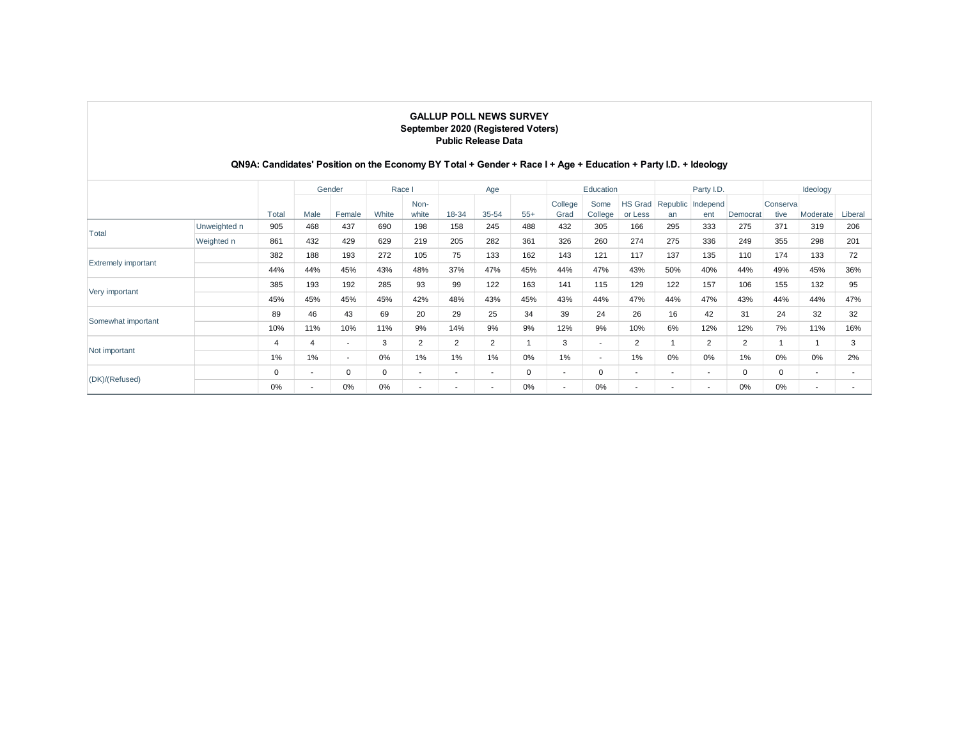|                            |              |             |      | QN9A: Candidates' Position on the Economy BY Total + Gender + Race I + Age + Education + Party I.D. + Ideology |             |                          | <b>GALLUP POLL NEWS SURVEY</b><br>September 2020 (Registered Voters)<br><b>Public Release Data</b> |                          |       |                          |                          |                          |                         |                          |                |                  |                          |                          |
|----------------------------|--------------|-------------|------|----------------------------------------------------------------------------------------------------------------|-------------|--------------------------|----------------------------------------------------------------------------------------------------|--------------------------|-------|--------------------------|--------------------------|--------------------------|-------------------------|--------------------------|----------------|------------------|--------------------------|--------------------------|
|                            |              |             |      | Gender                                                                                                         | Race I      |                          |                                                                                                    | Age                      |       |                          | Education                |                          |                         | Party I.D.               |                |                  | Ideology                 |                          |
|                            |              | Total       | Male | Female                                                                                                         | White       | Non-<br>white            | 18-34                                                                                              | 35-54                    | $55+$ | College<br>Grad          | Some<br>College          | HS Grad<br>or Less       | Republic Independ<br>an | ent                      | Democrat       | Conserva<br>tive | Moderate                 | Liberal                  |
|                            | Unweighted n | 905         | 468  | 437                                                                                                            | 690         | 198                      | 158                                                                                                | 245                      | 488   | 432                      | 305                      | 166                      | 295                     | 333                      | 275            | 371              | 319                      | 206                      |
| Total                      | Weighted n   | 861         | 432  | 429                                                                                                            | 629         | 219                      | 205                                                                                                | 282                      | 361   | 326                      | 260                      | 274                      | 275                     | 336                      | 249            | 355              | 298                      | 201                      |
|                            |              | 382         | 188  | 193                                                                                                            | 272         | 105                      | 75                                                                                                 | 133                      | 162   | 143                      | 121                      | 117                      | 137                     | 135                      | 110            | 174              | 133                      | 72                       |
| <b>Extremely important</b> |              | 44%         | 44%  | 45%                                                                                                            | 43%         | 48%                      | 37%                                                                                                | 47%                      | 45%   | 44%                      | 47%                      | 43%                      | 50%                     | 40%                      | 44%            | 49%              | 45%                      | 36%                      |
|                            |              | 385         | 193  | 192                                                                                                            | 285         | 93                       | 99                                                                                                 | 122                      | 163   | 141                      | 115                      | 129                      | 122                     | 157                      | 106            | 155              | 132                      | 95                       |
| Very important             |              | 45%         | 45%  | 45%                                                                                                            | 45%         | 42%                      | 48%                                                                                                | 43%                      | 45%   | 43%                      | 44%                      | 47%                      | 44%                     | 47%                      | 43%            | 44%              | 44%                      | 47%                      |
|                            |              | 89          | 46   | 43                                                                                                             | 69          | 20                       | 29                                                                                                 | 25                       | 34    | 39                       | 24                       | 26                       | 16                      | 42                       | 31             | 24               | 32                       | 32                       |
| Somewhat important         |              | 10%         | 11%  | 10%                                                                                                            | 11%         | 9%                       | 14%                                                                                                | 9%                       | 9%    | 12%                      | 9%                       | 10%                      | 6%                      | 12%                      | 12%            | 7%               | 11%                      | 16%                      |
|                            |              | 4           | 4    | $\sim$                                                                                                         | 3           | 2                        | 2                                                                                                  | 2                        |       | 3                        | $\blacksquare$           | 2                        | 1                       | $\overline{2}$           | $\overline{2}$ | -1               | $\mathbf{1}$             | 3                        |
| Not important              |              | 1%          | 1%   | $\sim$                                                                                                         | 0%          | 1%                       | 1%                                                                                                 | 1%                       | 0%    | 1%                       | $\overline{\phantom{a}}$ | 1%                       | 0%                      | 0%                       | 1%             | 0%               | 0%                       | 2%                       |
|                            |              | $\mathbf 0$ | ٠    | $\mathbf 0$                                                                                                    | $\mathbf 0$ | $\overline{\phantom{a}}$ | $\sim$                                                                                             | $\overline{\phantom{a}}$ | 0     | $\overline{\phantom{a}}$ | 0                        | $\overline{\phantom{a}}$ | $\blacksquare$          | $\overline{\phantom{a}}$ | $\mathbf 0$    | 0                | $\overline{\phantom{a}}$ | $\overline{\phantom{a}}$ |
| (DK)/(Refused)             |              | 0%          | ٠    | 0%                                                                                                             | 0%          | $\overline{\phantom{a}}$ | $\overline{\phantom{a}}$                                                                           | $\overline{\phantom{a}}$ | 0%    | $\overline{\phantom{a}}$ | 0%                       | $\overline{\phantom{a}}$ | ٠                       | ٠                        | 0%             | 0%               | $\overline{\phantom{a}}$ | $\overline{\phantom{a}}$ |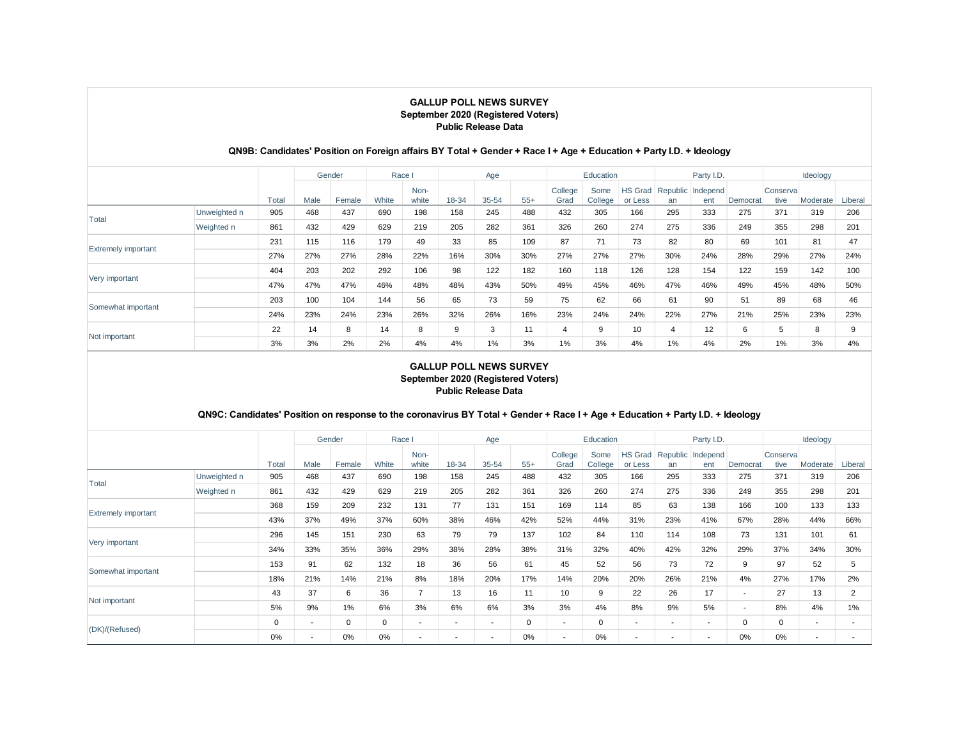#### Male Female White Nonwhite 18-34 35-54 55+ College Grad Some College HS Grad Republic Independ or Less an ent Democrat **Conserva** tive Moderate Liberal Unweighted n | 905 | 468 | 437 | 690 | 198 | 158 | 245 | 488 | 432 | 305 | 166 | 295 | 333 | 275 | 371 | 319 | 206 Weighted n 861 432 429 629 219 205 282 361 326 260 274 275 336 249 355 298 201 231 | 115 | 116 | 179 | 49 | 33 | 85 | 109 | 87 | 71 | 73 | 82 | 80 | 69 | 101 | 81 | 47 27% 27% 27% 28% 22% 16% 30% 30% 27% 27% 27% 30% 24% 28% 29% 27% 24% 404 | 203 | 202 | 292 | 106 | 98 | 122 | 182 | 160 | 118 | 126 | 128 | 154 | 122 | 159 | 142 | 100 47% 47% 47% 46% 48% 48% 43% 50% 49% 45% 46% 47% 46% 49% 45% 48% 50% 203 100 104 144 56 65 73 59 75 62 66 61 90 51 89 68 46 24% 23% 24% 23% 26% 32% 26% 16% 23% 24% 24% 22% 27% 21% 25% 23% 23% 22 14 8 14 8 9 3 11 4 9 10 4 12 6 5 8 9 3% 3% 2% 2% 4% 4% 1% 3% 1% 3% 4% 1% 4% 2% 1% 3% 4% Total Extremely important Very important Somewhat important Not important Total Gender Race I Age Education Party I.D. Ideology

### **QN9B: Candidates' Position on Foreign affairs BY Total + Gender + Race I + Age + Education + Party I.D. + Ideology**

### **GALLUP POLL NEWS SURVEY September 2020 (Registered Voters) Public Release Data**

### **QN9C: Candidates' Position on response to the coronavirus BY Total + Gender + Race I + Age + Education + Party I.D. + Ideology**

|                            |              |       |                          | Gender | Race      |                          |                          | Age                      |             |                 | Education       |                           |                          | Party I.D.               |                          |                   | Ideology                 |                |
|----------------------------|--------------|-------|--------------------------|--------|-----------|--------------------------|--------------------------|--------------------------|-------------|-----------------|-----------------|---------------------------|--------------------------|--------------------------|--------------------------|-------------------|--------------------------|----------------|
|                            |              | Total | Male                     | Female | White     | Non-<br>white            | 18-34                    | 35-54                    | $55+$       | College<br>Grad | Some<br>College | <b>HS Grad</b><br>or Less | an                       | Republic Independ<br>ent | Democrat                 | Conserval<br>tive | Moderate                 | Liberal        |
| Total                      | Unweighted n | 905   | 468                      | 437    | 690       | 198                      | 158                      | 245                      | 488         | 432             | 305             | 166                       | 295                      | 333                      | 275                      | 371               | 319                      | 206            |
|                            | Weighted n   | 861   | 432                      | 429    | 629       | 219                      | 205                      | 282                      | 361         | 326             | 260             | 274                       | 275                      | 336                      | 249                      | 355               | 298                      | 201            |
|                            |              | 368   | 159                      | 209    | 232       | 131                      | 77                       | 131                      | 151         | 169             | 114             | 85                        | 63                       | 138                      | 166                      | 100               | 133                      | 133            |
| <b>Extremely important</b> |              | 43%   | 37%                      | 49%    | 37%       | 60%                      | 38%                      | 46%                      | 42%         | 52%             | 44%             | 31%                       | 23%                      | 41%                      | 67%                      | 28%               | 44%                      | 66%            |
| Very important             |              | 296   | 145                      | 151    | 230       | 63                       | 79                       | 79                       | 137         | 102             | 84              | 110                       | 114                      | 108                      | 73                       | 131               | 101                      | 61             |
|                            |              | 34%   | 33%                      | 35%    | 36%       | 29%                      | 38%                      | 28%                      | 38%         | 31%             | 32%             | 40%                       | 42%                      | 32%                      | 29%                      | 37%               | 34%                      | 30%            |
|                            |              | 153   | 91                       | 62     | 132       | 18                       | 36                       | 56                       | 61          | 45              | 52              | 56                        | 73                       | 72                       | 9                        | 97                | 52                       | 5              |
| Somewhat important         |              | 18%   | 21%                      | 14%    | 21%       | 8%                       | 18%                      | 20%                      | 17%         | 14%             | 20%             | 20%                       | 26%                      | 21%                      | 4%                       | 27%               | 17%                      | 2%             |
|                            |              | 43    | 37                       | 6      | 36        | 7                        | 13                       | 16                       | 11          | 10              | 9               | 22                        | 26                       | 17                       | $\overline{\phantom{a}}$ | 27                | 13                       | $\overline{2}$ |
| Not important              |              | 5%    | 9%                       | 1%     | 6%        | 3%                       | 6%                       | 6%                       | 3%          | 3%              | 4%              | 8%                        | 9%                       | 5%                       | $\overline{\phantom{a}}$ | 8%                | 4%                       | 1%             |
| (DK)/(Refused)             |              | 0     | $\overline{\phantom{a}}$ | 0      | $\pmb{0}$ | $\overline{\phantom{a}}$ | $\overline{\phantom{a}}$ | $\overline{\phantom{a}}$ | $\mathbf 0$ | $\blacksquare$  | 0               | $\overline{\phantom{a}}$  | $\overline{\phantom{a}}$ | ۰.                       | 0                        | $\mathbf 0$       | $\overline{\phantom{a}}$ |                |
|                            |              | 0%    | ٠                        | 0%     | 0%        | $\overline{\phantom{a}}$ | $\overline{\phantom{a}}$ | $\overline{\phantom{a}}$ | 0%          |                 | 0%              | $\overline{\phantom{a}}$  |                          | ۰.                       | 0%                       | 0%                |                          |                |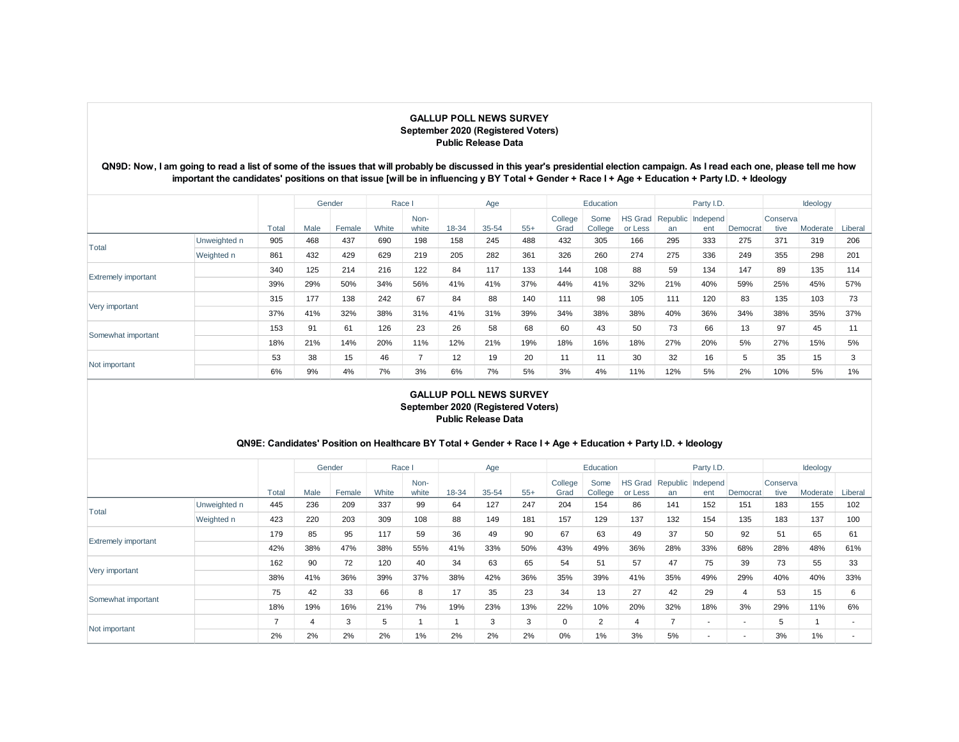### **QN9D: Now, I am going to read a list of some of the issues that will probably be discussed in this year's presidential election campaign. As I read each one, please tell me how important the candidates' positions on that issue [will be in influencing y BY Total + Gender + Race I + Age + Education + Party I.D. + Ideology**

|                            |              |       |      | Gender | Race  |               |       | Age   |       |                 | Education       |                           |     | Party I.D.               |          |                   | Ideology |         |
|----------------------------|--------------|-------|------|--------|-------|---------------|-------|-------|-------|-----------------|-----------------|---------------------------|-----|--------------------------|----------|-------------------|----------|---------|
|                            |              | Total | Male | Female | White | Non-<br>white | 18-34 | 35-54 | $55+$ | College<br>Grad | Some<br>College | <b>HS Grad</b><br>or Less | an  | Republic Independ<br>ent | Democrat | Conserval<br>tive | Moderate | Liberal |
|                            | Unweighted n | 905   | 468  | 437    | 690   | 198           | 158   | 245   | 488   | 432             | 305             | 166                       | 295 | 333                      | 275      | 371               | 319      | 206     |
| Total<br>Weighted n        |              | 861   | 432  | 429    | 629   | 219           | 205   | 282   | 361   | 326             | 260             | 274                       | 275 | 336                      | 249      | 355               | 298      | 201     |
| <b>Extremely important</b> |              | 340   | 125  | 214    | 216   | 122           | 84    | 117   | 133   | 144             | 108             | 88                        | 59  | 134                      | 147      | 89                | 135      | 114     |
|                            |              | 39%   | 29%  | 50%    | 34%   | 56%           | 41%   | 41%   | 37%   | 44%             | 41%             | 32%                       | 21% | 40%                      | 59%      | 25%               | 45%      | 57%     |
|                            |              | 315   | 177  | 138    | 242   | 67            | 84    | 88    | 140   | 111             | 98              | 105                       | 111 | 120                      | 83       | 135               | 103      | 73      |
| Very important             |              | 37%   | 41%  | 32%    | 38%   | 31%           | 41%   | 31%   | 39%   | 34%             | 38%             | 38%                       | 40% | 36%                      | 34%      | 38%               | 35%      | 37%     |
|                            |              | 153   | 91   | 61     | 126   | 23            | 26    | 58    | 68    | 60              | 43              | 50                        | 73  | 66                       | 13       | 97                | 45       | 11      |
| Somewhat important         |              | 18%   | 21%  | 14%    | 20%   | 11%           | 12%   | 21%   | 19%   | 18%             | 16%             | 18%                       | 27% | 20%                      | 5%       | 27%               | 15%      | 5%      |
| Not important              |              | 53    | 38   | 15     | 46    |               | 12    | 19    | 20    | 11              | 11              | 30                        | 32  | 16                       | 5        | 35                | 15       |         |
|                            |              | 6%    | 9%   | 4%     | 7%    | 3%            | 6%    | 7%    | 5%    | 3%              | 4%              | 11%                       | 12% | 5%                       | 2%       | 10%               | 5%       | 1%      |

### **GALLUP POLL NEWS SURVEY September 2020 (Registered Voters) Public Release Data**

### **QN9E: Candidates' Position on Healthcare BY Total + Gender + Race I + Age + Education + Party I.D. + Ideology**

|                            |              |       |      | Gender | Race I |               |       | Age   |       |                 | Education       |         |                | Party I.D.                       |                          |                   | Ideology |         |
|----------------------------|--------------|-------|------|--------|--------|---------------|-------|-------|-------|-----------------|-----------------|---------|----------------|----------------------------------|--------------------------|-------------------|----------|---------|
|                            |              | Total | Male | Female | White  | Non-<br>white | 18-34 | 35-54 | $55+$ | College<br>Grad | Some<br>College | or Less | an             | HS Grad Republic Independ<br>ent | Democrat                 | Conserval<br>tive | Moderate | Liberal |
| Total                      | Unweighted n | 445   | 236  | 209    | 337    | 99            | 64    | 127   | 247   | 204             | 154             | 86      | 141            | 152                              | 151                      | 183               | 155      | 102     |
|                            | Weighted n   | 423   | 220  | 203    | 309    | 108           | 88    | 149   | 181   | 157             | 129             | 137     | 132            | 154                              | 135                      | 183               | 137      | 100     |
|                            |              | 179   | 85   | 95     | 117    | 59            | 36    | 49    | 90    | 67              | 63              | 49      | 37             | 50                               | 92                       | 51                | 65       | 61      |
| <b>Extremely important</b> |              | 42%   | 38%  | 47%    | 38%    | 55%           | 41%   | 33%   | 50%   | 43%             | 49%             | 36%     | 28%            | 33%                              | 68%                      | 28%               | 48%      | 61%     |
|                            |              | 162   | 90   | 72     | 120    | 40            | 34    | 63    | 65    | 54              | 51              | 57      | 47             | 75                               | 39                       | 73                | 55       | 33      |
| Very important             |              | 38%   | 41%  | 36%    | 39%    | 37%           | 38%   | 42%   | 36%   | 35%             | 39%             | 41%     | 35%            | 49%                              | 29%                      | 40%               | 40%      | 33%     |
|                            |              | 75    | 42   | 33     | 66     | 8             | 17    | 35    | 23    | 34              | 13              | 27      | 42             | 29                               | $\overline{4}$           | 53                | 15       | 6       |
| Somewhat important         |              | 18%   | 19%  | 16%    | 21%    | 7%            | 19%   | 23%   | 13%   | 22%             | 10%             | 20%     | 32%            | 18%                              | 3%                       | 29%               | 11%      | 6%      |
| Not important              |              | -     | 4    | 3      | 5      |               |       | 3     | 3     | 0               | 2               | 4       | $\overline{ }$ | ٠                                | $\overline{\phantom{a}}$ | 5                 |          |         |
|                            |              | 2%    | 2%   | 2%     | 2%     | 1%            | 2%    | 2%    | 2%    | 0%              | 1%              | 3%      | 5%             | ٠                                | $\overline{\phantom{a}}$ | 3%                | 1%       |         |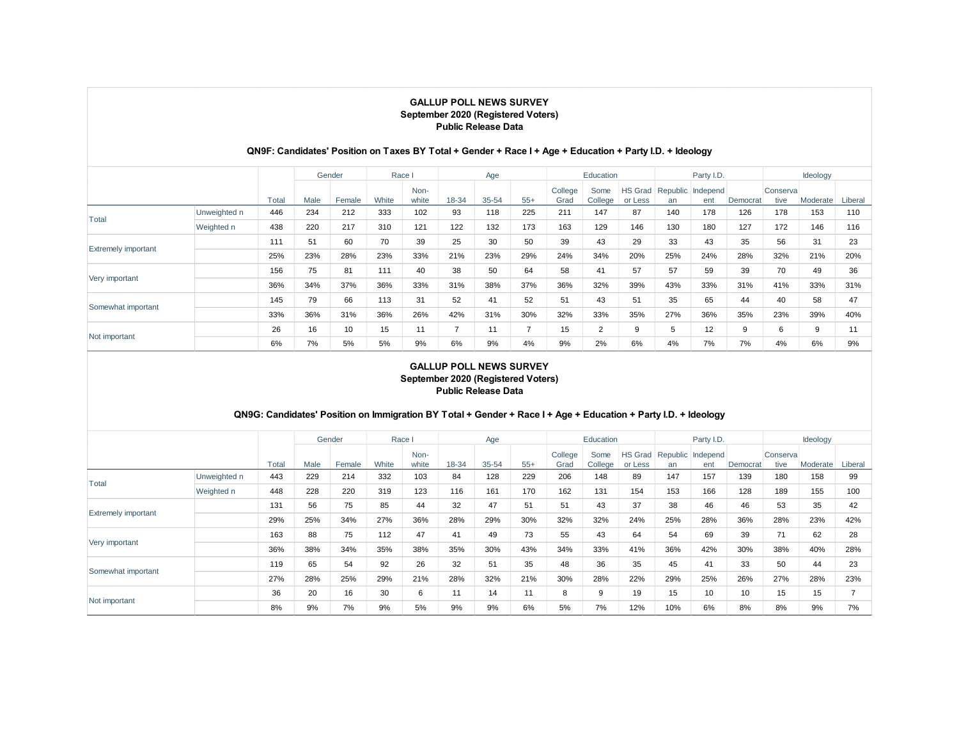## **QN9F: Candidates' Position on Taxes BY Total + Gender + Race I + Age + Education + Party I.D. + Ideology**

|                            |              |       |      | Gender | Race I |               |       | Age   |       |                 | Education       |                           |     | Party I.D.               |          |                  | Ideology |         |
|----------------------------|--------------|-------|------|--------|--------|---------------|-------|-------|-------|-----------------|-----------------|---------------------------|-----|--------------------------|----------|------------------|----------|---------|
|                            |              | Total | Male | Female | White  | Non-<br>white | 18-34 | 35-54 | $55+$ | College<br>Grad | Some<br>College | <b>HS Grad</b><br>or Less | an  | Republic Independ<br>ent | Democrat | Conserva<br>tive | Moderate | Liberal |
| Total                      | Unweighted n | 446   | 234  | 212    | 333    | 102           | 93    | 118   | 225   | 211             | 147             | 87                        | 140 | 178                      | 126      | 178              | 153      | 110     |
|                            | Weighted n   | 438   | 220  | 217    | 310    | 121           | 122   | 132   | 173   | 163             | 129             | 146                       | 130 | 180                      | 127      | 172              | 146      | 116     |
|                            |              | 111   | 51   | 60     | 70     | 39            | 25    | 30    | 50    | 39              | 43              | 29                        | 33  | 43                       | 35       | 56               | 31       | 23      |
| <b>Extremely important</b> |              | 25%   | 23%  | 28%    | 23%    | 33%           | 21%   | 23%   | 29%   | 24%             | 34%             | 20%                       | 25% | 24%                      | 28%      | 32%              | 21%      | 20%     |
|                            |              | 156   | 75   | 81     | 111    | 40            | 38    | 50    | 64    | 58              | 41              | 57                        | 57  | 59                       | 39       | 70               | 49       | 36      |
| Very important             |              | 36%   | 34%  | 37%    | 36%    | 33%           | 31%   | 38%   | 37%   | 36%             | 32%             | 39%                       | 43% | 33%                      | 31%      | 41%              | 33%      | 31%     |
|                            |              | 145   | 79   | 66     | 113    | 31            | 52    | 41    | 52    | 51              | 43              | 51                        | 35  | 65                       | 44       | 40               | 58       | 47      |
| Somewhat important         |              | 33%   | 36%  | 31%    | 36%    | 26%           | 42%   | 31%   | 30%   | 32%             | 33%             | 35%                       | 27% | 36%                      | 35%      | 23%              | 39%      | 40%     |
| Not important              |              | 26    | 16   | 10     | 15     | 11            |       | 11    | ⇁     | 15              | 2               | 9                         | 5   | 12                       | 9        | 6                | 9        | 11      |
|                            |              | 6%    | 7%   | 5%     | 5%     | 9%            | 6%    | 9%    | 4%    | 9%              | 2%              | 6%                        | 4%  | 7%                       | 7%       | 4%               | 6%       | 9%      |

### **GALLUP POLL NEWS SURVEY September 2020 (Registered Voters) Public Release Data**

## **QN9G: Candidates' Position on Immigration BY Total + Gender + Race I + Age + Education + Party I.D. + Ideology**

|                            |              |       |      | Gender | Race I |               |       | Age   |       |                 | Education       |                           |     | Party I.D.               |          |                   | Ideology |         |
|----------------------------|--------------|-------|------|--------|--------|---------------|-------|-------|-------|-----------------|-----------------|---------------------------|-----|--------------------------|----------|-------------------|----------|---------|
|                            |              | Total | Male | Female | White  | Non-<br>white | 18-34 | 35-54 | $55+$ | College<br>Grad | Some<br>College | <b>HS Grad</b><br>or Less | an  | Republic Independ<br>ent | Democrat | Conserval<br>tive | Moderate | Liberal |
| Total                      | Unweighted n | 443   | 229  | 214    | 332    | 103           | 84    | 128   | 229   | 206             | 148             | 89                        | 147 | 157                      | 139      | 180               | 158      | 99      |
| Weighted n                 |              | 448   | 228  | 220    | 319    | 123           | 116   | 161   | 170   | 162             | 131             | 154                       | 153 | 166                      | 128      | 189               | 155      | 100     |
| <b>Extremely important</b> |              | 131   | 56   | 75     | 85     | 44            | 32    | 47    | 51    | 51              | 43              | 37                        | 38  | 46                       | 46       | 53                | 35       | 42      |
|                            |              | 29%   | 25%  | 34%    | 27%    | 36%           | 28%   | 29%   | 30%   | 32%             | 32%             | 24%                       | 25% | 28%                      | 36%      | 28%               | 23%      | 42%     |
|                            |              | 163   | 88   | 75     | 112    | 47            | 41    | 49    | 73    | 55              | 43              | 64                        | 54  | 69                       | 39       | 71                | 62       | 28      |
| Very important             |              | 36%   | 38%  | 34%    | 35%    | 38%           | 35%   | 30%   | 43%   | 34%             | 33%             | 41%                       | 36% | 42%                      | 30%      | 38%               | 40%      | 28%     |
|                            |              | 119   | 65   | 54     | 92     | 26            | 32    | 51    | 35    | 48              | 36              | 35                        | 45  | 41                       | 33       | 50                | 44       | 23      |
| Somewhat important         |              | 27%   | 28%  | 25%    | 29%    | 21%           | 28%   | 32%   | 21%   | 30%             | 28%             | 22%                       | 29% | 25%                      | 26%      | 27%               | 28%      | 23%     |
| Not important              |              | 36    | 20   | 16     | 30     | 6             | 11    | 14    | 11    | 8               | 9               | 19                        | 15  | 10                       | 10       | 15                | 15       |         |
|                            |              | 8%    | 9%   | 7%     | 9%     | 5%            | 9%    | 9%    | 6%    | 5%              | 7%              | 12%                       | 10% | 6%                       | 8%       | 8%                | 9%       | 7%      |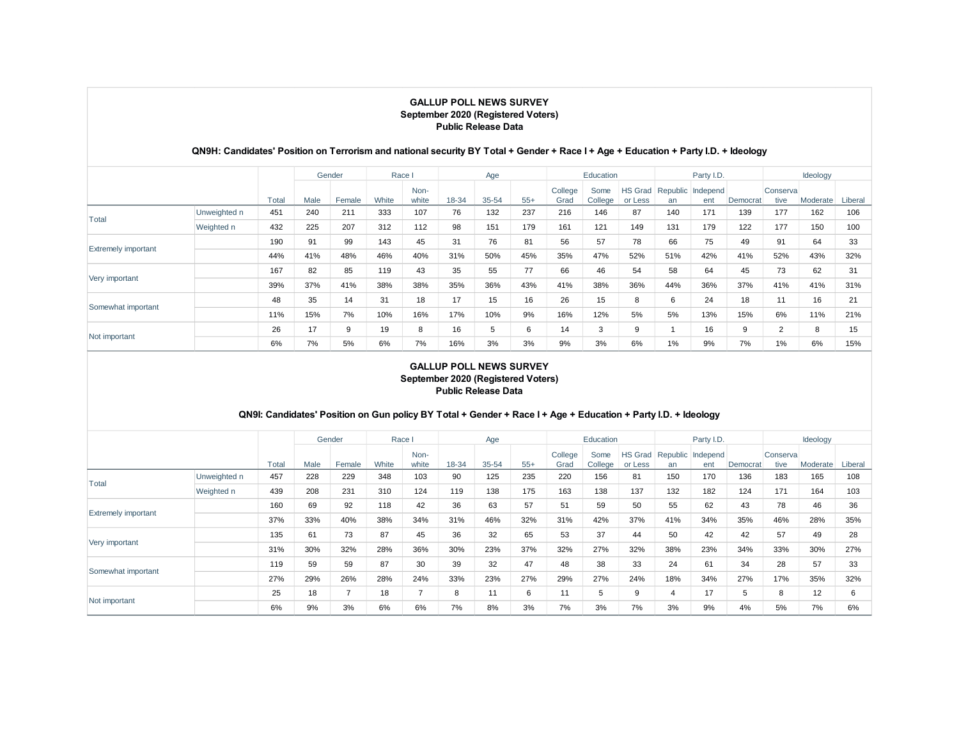## **QN9H: Candidates' Position on Terrorism and national security BY Total + Gender + Race I + Age + Education + Party I.D. + Ideology**

|                            |              |       |      | Gender | Race I |               |          | Age   |       |                 | Education       |                           |     | Party I.D.               |          |                   | Ideology |         |
|----------------------------|--------------|-------|------|--------|--------|---------------|----------|-------|-------|-----------------|-----------------|---------------------------|-----|--------------------------|----------|-------------------|----------|---------|
|                            |              | Total | Male | Female | White  | Non-<br>white | $8 - 34$ | 35-54 | $55+$ | College<br>Grad | Some<br>College | <b>HS Grad</b><br>or Less | an  | Republic Independ<br>ent | Democrat | Conserval<br>tive | Moderate | Liberal |
| Total                      | Unweighted n | 451   | 240  | 211    | 333    | 107           | 76       | 132   | 237   | 216             | 146             | 87                        | 140 | 171                      | 139      | 177               | 162      | 106     |
|                            | Weighted n   | 432   | 225  | 207    | 312    | 112           | 98       | 151   | 179   | 161             | 121             | 149                       | 131 | 179                      | 122      | 177               | 150      | 100     |
|                            |              | 190   | 91   | 99     | 143    | 45            | 31       | 76    | 81    | 56              | 57              | 78                        | 66  | 75                       | 49       | 91                | 64       | 33      |
| <b>Extremely important</b> |              | 44%   | 41%  | 48%    | 46%    | 40%           | 31%      | 50%   | 45%   | 35%             | 47%             | 52%                       | 51% | 42%                      | 41%      | 52%               | 43%      | 32%     |
| Very important             |              | 167   | 82   | 85     | 119    | 43            | 35       | 55    | 77    | 66              | 46              | 54                        | 58  | 64                       | 45       | 73                | 62       | 31      |
|                            |              | 39%   | 37%  | 41%    | 38%    | 38%           | 35%      | 36%   | 43%   | 41%             | 38%             | 36%                       | 44% | 36%                      | 37%      | 41%               | 41%      | 31%     |
|                            |              | 48    | 35   | 14     | 31     | 18            | 17       | 15    | 16    | 26              | 15              | 8                         | 6   | 24                       | 18       | 11                | 16       | 21      |
| Somewhat important         |              | 11%   | 15%  | 7%     | 10%    | 16%           | 17%      | 10%   | 9%    | 16%             | 12%             | 5%                        | 5%  | 13%                      | 15%      | 6%                | 11%      | 21%     |
| Not important              |              | 26    | 17   | 9      | 19     | 8             | 16       | 5     | 6     | 14              | 3               | 9                         |     | 16                       | 9        | $\overline{2}$    | 8        | 15      |
|                            |              | 6%    | 7%   | 5%     | 6%     | 7%            | 16%      | 3%    | 3%    | 9%              | 3%              | 6%                        | 1%  | 9%                       | 7%       | 1%                | 6%       | 15%     |

### **GALLUP POLL NEWS SURVEY September 2020 (Registered Voters) Public Release Data**

## **QN9I: Candidates' Position on Gun policy BY Total + Gender + Race I + Age + Education + Party I.D. + Ideology**

|                            |              |       |      | Gender | Race  |               |       | Age   |       |                 | Education       |                    |     | Party I.D.               |          |                   | Ideology |         |
|----------------------------|--------------|-------|------|--------|-------|---------------|-------|-------|-------|-----------------|-----------------|--------------------|-----|--------------------------|----------|-------------------|----------|---------|
|                            |              | Total | Male | Female | White | Non-<br>white | 18-34 | 35-54 | $55+$ | College<br>Grad | Some<br>College | HS Grad<br>or Less | an  | Republic Independ<br>ent | Democrat | Conserval<br>tive | Moderate | Liberal |
| Total                      | Unweighted n | 457   | 228  | 229    | 348   | 103           | 90    | 125   | 235   | 220             | 156             | 81                 | 150 | 170                      | 136      | 183               | 165      | 108     |
|                            | Weighted n   | 439   | 208  | 231    | 310   | 124           | 119   | 138   | 175   | 163             | 138             | 137                | 132 | 182                      | 124      | 171               | 164      | 103     |
|                            |              | 160   | 69   | 92     | 118   | 42            | 36    | 63    | 57    | 51              | 59              | 50                 | 55  | 62                       | 43       | 78                | 46       | 36      |
| <b>Extremely important</b> |              | 37%   | 33%  | 40%    | 38%   | 34%           | 31%   | 46%   | 32%   | 31%             | 42%             | 37%                | 41% | 34%                      | 35%      | 46%               | 28%      | 35%     |
|                            |              | 135   | 61   | 73     | 87    | 45            | 36    | 32    | 65    | 53              | 37              | 44                 | 50  | 42                       | 42       | 57                | 49       | 28      |
| Very important             |              | 31%   | 30%  | 32%    | 28%   | 36%           | 30%   | 23%   | 37%   | 32%             | 27%             | 32%                | 38% | 23%                      | 34%      | 33%               | 30%      | 27%     |
| Somewhat important         |              | 119   | 59   | 59     | 87    | 30            | 39    | 32    | 47    | 48              | 38              | 33                 | 24  | 61                       | 34       | 28                | 57       | 33      |
|                            |              | 27%   | 29%  | 26%    | 28%   | 24%           | 33%   | 23%   | 27%   | 29%             | 27%             | 24%                | 18% | 34%                      | 27%      | 17%               | 35%      | 32%     |
|                            |              | 25    | 18   |        | 18    |               | 8     | 11    | 6     | 11              | 5               | 9                  | 4   | 17                       | 5        | 8                 | 12       | 6       |
| Not important              |              | 6%    | 9%   | 3%     | 6%    | 6%            | 7%    | 8%    | 3%    | 7%              | 3%              | 7%                 | 3%  | 9%                       | 4%       | 5%                | 7%       | 6%      |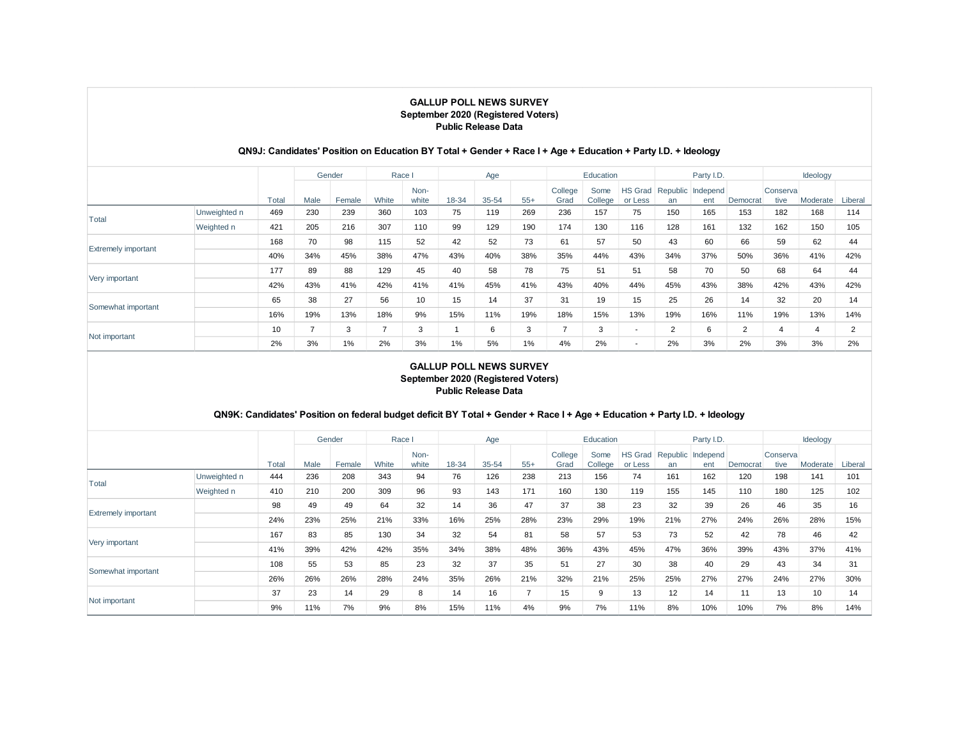## **QN9J: Candidates' Position on Education BY Total + Gender + Race I + Age + Education + Party I.D. + Ideology**

|                            |              |       |      | Gender | Race  |               |       | Age   |       |                 | Education       |                           |     | Party I.D.               |          |                   | Ideology |         |
|----------------------------|--------------|-------|------|--------|-------|---------------|-------|-------|-------|-----------------|-----------------|---------------------------|-----|--------------------------|----------|-------------------|----------|---------|
|                            |              | Total | Male | Female | White | Non-<br>white | 18-34 | 35-54 | $55+$ | College<br>Grad | Some<br>College | <b>HS Grad</b><br>or Less | an  | Republic Independ<br>ent | Democrat | Conserval<br>tive | Moderate | Liberal |
| Total                      | Unweighted n | 469   | 230  | 239    | 360   | 103           | 75    | 119   | 269   | 236             | 157             | 75                        | 150 | 165                      | 153      | 182               | 168      | 114     |
|                            | Weighted n   | 421   | 205  | 216    | 307   | 110           | 99    | 129   | 190   | 174             | 130             | 116                       | 128 | 161                      | 132      | 162               | 150      | 105     |
|                            |              | 168   | 70   | 98     | 115   | 52            | 42    | 52    | 73    | 61              | 57              | 50                        | 43  | 60                       | 66       | 59                | 62       | 44      |
| <b>Extremely important</b> |              | 40%   | 34%  | 45%    | 38%   | 47%           | 43%   | 40%   | 38%   | 35%             | 44%             | 43%                       | 34% | 37%                      | 50%      | 36%               | 41%      | 42%     |
| Very important             |              | 177   | 89   | 88     | 129   | 45            | 40    | 58    | 78    | 75              | 51              | 51                        | 58  | 70                       | 50       | 68                | 64       | 44      |
|                            |              | 42%   | 43%  | 41%    | 42%   | 41%           | 41%   | 45%   | 41%   | 43%             | 40%             | 44%                       | 45% | 43%                      | 38%      | 42%               | 43%      | 42%     |
| Somewhat important         |              | 65    | 38   | 27     | 56    | 10            | 15    | 14    | 37    | 31              | 19              | 15                        | 25  | 26                       | 14       | 32                | 20       | 14      |
|                            |              | 16%   | 19%  | 13%    | 18%   | 9%            | 15%   | 11%   | 19%   | 18%             | 15%             | 13%                       | 19% | 16%                      | 11%      | 19%               | 13%      | 14%     |
| Not important              |              | 10    |      | 3      | -     | 3             |       | 6     | 3     | ⇁               | 3               | $\overline{\phantom{a}}$  | 2   | 6                        | 2        | $\overline{4}$    | 4        |         |
|                            |              | 2%    | 3%   | 1%     | 2%    | 3%            | 1%    | 5%    | $1\%$ | 4%              | 2%              | $\overline{\phantom{a}}$  | 2%  | 3%                       | 2%       | 3%                | 3%       | 2%      |

### **GALLUP POLL NEWS SURVEY September 2020 (Registered Voters) Public Release Data**

## **QN9K: Candidates' Position on federal budget deficit BY Total + Gender + Race I + Age + Education + Party I.D. + Ideology**

|                            |              |       |      | Gender | Race  |               |       | Age   |                |                 | Education       |                    |     | Party I.D.               |          |                   | Ideology |         |
|----------------------------|--------------|-------|------|--------|-------|---------------|-------|-------|----------------|-----------------|-----------------|--------------------|-----|--------------------------|----------|-------------------|----------|---------|
|                            |              | Total | Male | Female | White | Non-<br>white | 18-34 | 35-54 | $55+$          | College<br>Grad | Some<br>College | HS Grad<br>or Less | an  | Republic Independ<br>ent | Democrat | Conserval<br>tive | Moderate | Liberal |
| Total                      | Unweighted n | 444   | 236  | 208    | 343   | 94            | 76    | 126   | 238            | 213             | 156             | 74                 | 161 | 162                      | 120      | 198               | 141      | 101     |
|                            | Weighted n   | 410   | 210  | 200    | 309   | 96            | 93    | 143   | 171            | 160             | 130             | 119                | 155 | 145                      | 110      | 180               | 125      | 102     |
|                            |              | 98    | 49   | 49     | 64    | 32            | 14    | 36    | 47             | 37              | 38              | 23                 | 32  | 39                       | 26       | 46                | 35       | 16      |
| <b>Extremely important</b> |              | 24%   | 23%  | 25%    | 21%   | 33%           | 16%   | 25%   | 28%            | 23%             | 29%             | 19%                | 21% | 27%                      | 24%      | 26%               | 28%      | 15%     |
|                            |              | 167   | 83   | 85     | 130   | 34            | 32    | 54    | 81             | 58              | 57              | 53                 | 73  | 52                       | 42       | 78                | 46       | 42      |
| Very important             |              | 41%   | 39%  | 42%    | 42%   | 35%           | 34%   | 38%   | 48%            | 36%             | 43%             | 45%                | 47% | 36%                      | 39%      | 43%               | 37%      | 41%     |
|                            |              | 108   | 55   | 53     | 85    | 23            | 32    | 37    | 35             | 51              | 27              | 30                 | 38  | 40                       | 29       | 43                | 34       | 31      |
| Somewhat important         |              | 26%   | 26%  | 26%    | 28%   | 24%           | 35%   | 26%   | 21%            | 32%             | 21%             | 25%                | 25% | 27%                      | 27%      | 24%               | 27%      | 30%     |
|                            |              | 37    | 23   | 14     | 29    | 8             | 14    | 16    | $\overline{ }$ | 15              | 9               | 13                 | 12  | 14                       | 11       | 13                | 10       | 14      |
| Not important              |              | 9%    | 11%  | 7%     | 9%    | 8%            | 15%   | 11%   | 4%             | 9%              | 7%              | 11%                | 8%  | 10%                      | 10%      | 7%                | 8%       | 14%     |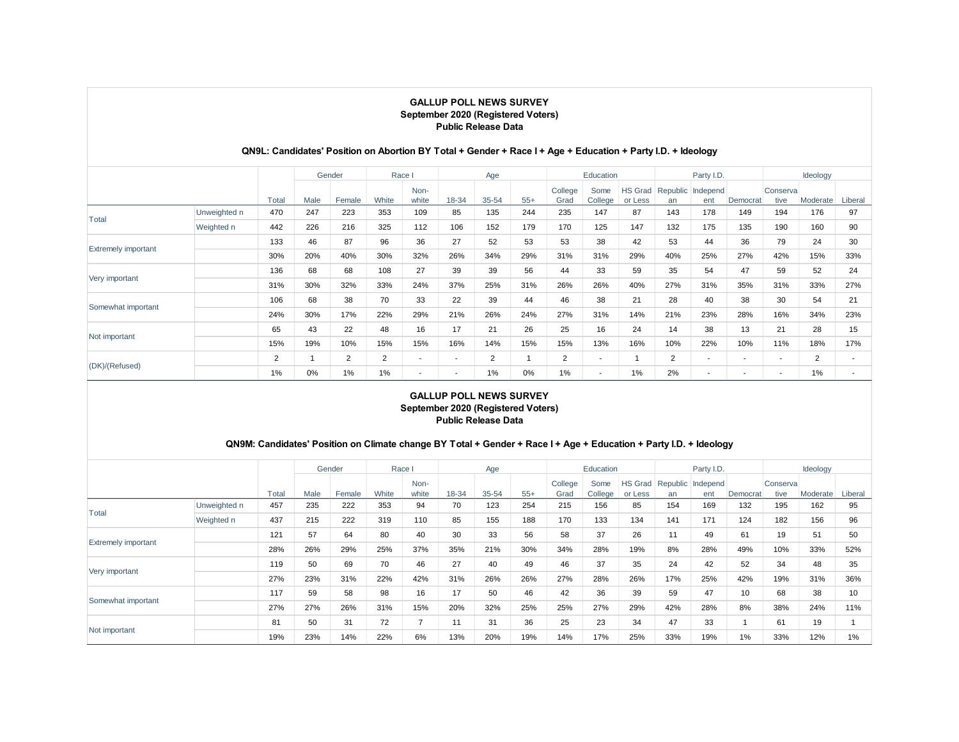|                            |              |                |      | Gender |                | Race I                   |                          | Age            |       |                 | Education       |                           |                | Party I.D.               |                          |                   | Ideology |         |
|----------------------------|--------------|----------------|------|--------|----------------|--------------------------|--------------------------|----------------|-------|-----------------|-----------------|---------------------------|----------------|--------------------------|--------------------------|-------------------|----------|---------|
|                            |              | Total          | Male | Female | White          | Non-<br>white            | 18-34                    | $35 - 54$      | $55+$ | College<br>Grad | Some<br>College | <b>HS Grad</b><br>or Less | an             | Republic Independ<br>ent | Democrat                 | Conserval<br>tive | Moderate | Liberal |
|                            | Unweighted n | 470            | 247  | 223    | 353            | 109                      | 85                       | 135            | 244   | 235             | 147             | 87                        | 143            | 178                      | 149                      | 194               | 176      | 97      |
| Total                      | Weighted n   | 442            | 226  | 216    | 325            | 112                      | 106                      | 152            | 179   | 170             | 125             | 147                       | 132            | 175                      | 135                      | 190               | 160      | 90      |
|                            |              | 133            | 46   | 87     | 96             | 36                       | 27                       | 52             | 53    | 53              | 38              | 42                        | 53             | 44                       | 36                       | 79                | 24       | 30      |
| <b>Extremely important</b> |              | 30%            | 20%  | 40%    | 30%            | 32%                      | 26%                      | 34%            | 29%   | 31%             | 31%             | 29%                       | 40%            | 25%                      | 27%                      | 42%               | 15%      | 33%     |
|                            |              | 136            | 68   | 68     | 108            | 27                       | 39                       | 39             | 56    | 44              | 33              | 59                        | 35             | 54                       | 47                       | 59                | 52       | 24      |
| Very important             |              | 31%            | 30%  | 32%    | 33%            | 24%                      | 37%                      | 25%            | 31%   | 26%             | 26%             | 40%                       | 27%            | 31%                      | 35%                      | 31%               | 33%      | 27%     |
|                            |              | 106            | 68   | 38     | 70             | 33                       | 22                       | 39             | 44    | 46              | 38              | 21                        | 28             | 40                       | 38                       | 30                | 54       | 21      |
| Somewhat important         |              | 24%            | 30%  | 17%    | 22%            | 29%                      | 21%                      | 26%            | 24%   | 27%             | 31%             | 14%                       | 21%            | 23%                      | 28%                      | 16%               | 34%      | 23%     |
|                            |              | 65             | 43   | 22     | 48             | 16                       | 17                       | 21             | 26    | 25              | 16              | 24                        | 14             | 38                       | 13                       | 21                | 28       | 15      |
| Not important              |              | 15%            | 19%  | 10%    | 15%            | 15%                      | 16%                      | 14%            | 15%   | 15%             | 13%             | 16%                       | 10%            | 22%                      | 10%                      | 11%               | 18%      | 17%     |
|                            |              | $\overline{2}$ |      | 2      | $\overline{2}$ | $\sim$                   | $\overline{\phantom{a}}$ | $\overline{2}$ |       | $\overline{2}$  | $\sim$          |                           | $\overline{2}$ | $\overline{\phantom{a}}$ | $\overline{\phantom{a}}$ | ۰.                | 2        |         |
| (DK)/(Refused)             |              | 1%             | 0%   | 1%     | 1%             | $\overline{\phantom{a}}$ |                          | 1%             | 0%    | 1%              | ۰.              | 1%                        | 2%             | ۰                        |                          | ۰.                | 1%       |         |

## **QN9L: Candidates' Position on Abortion BY Total + Gender + Race I + Age + Education + Party I.D. + Ideology**

### **GALLUP POLL NEWS SURVEY September 2020 (Registered Voters) Public Release Data**

## **QN9M: Candidates' Position on Climate change BY Total + Gender + Race I + Age + Education + Party I.D. + Ideology**

|                            |              |       |      | Gender | Race I |               |                          | Age   |       |                 | Education       |                           |     | Party I.D.               |          |                   | Ideology |         |
|----------------------------|--------------|-------|------|--------|--------|---------------|--------------------------|-------|-------|-----------------|-----------------|---------------------------|-----|--------------------------|----------|-------------------|----------|---------|
|                            |              | Total | Male | Female | White  | Non-<br>white | 18-34                    | 35-54 | $55+$ | College<br>Grad | Some<br>College | <b>HS Grad</b><br>or Less | an  | Republic Independ<br>ent | Democrat | Conserval<br>tive | Moderate | Liberal |
| Total                      | Unweighted n | 457   | 235  | 222    | 353    | 94            | 70                       | 123   | 254   | 215             | 156             | 85                        | 154 | 169                      | 132      | 195               | 162      | 95      |
|                            | Weighted n   | 437   | 215  | 222    | 319    | 110           | 85                       | 155   | 188   | 170             | 133             | 134                       | 141 | 171                      | 124      | 182               | 156      | 96      |
|                            |              | 121   | 57   | 64     | 80     | 40            | 30                       | 33    | 56    | 58              | 37              | 26                        | 11  | 49                       | 61       | 19                | 51       | 50      |
| <b>Extremely important</b> |              | 28%   | 26%  | 29%    | 25%    | 37%           | 35%                      | 21%   | 30%   | 34%             | 28%             | 19%                       | 8%  | 28%                      | 49%      | 10%               | 33%      | 52%     |
|                            |              | 119   | 50   | 69     | 70     | 46            | 27                       | 40    | 49    | 46              | 37              | 35                        | 24  | 42                       | 52       | 34                | 48       | 35      |
| Very important             |              | 27%   | 23%  | 31%    | 22%    | 42%           | 31%                      | 26%   | 26%   | 27%             | 28%             | 26%                       | 17% | 25%                      | 42%      | 19%               | 31%      | 36%     |
| Somewhat important         |              | 117   | 59   | 58     | 98     | 16            | 17                       | 50    | 46    | 42              | 36              | 39                        | 59  | 47                       | 10       | 68                | 38       | 10      |
|                            |              | 27%   | 27%  | 26%    | 31%    | 15%           | 20%                      | 32%   | 25%   | 25%             | 27%             | 29%                       | 42% | 28%                      | 8%       | 38%               | 24%      | 11%     |
|                            |              | 81    | 50   | 31     | 72     | -             | $\overline{\phantom{a}}$ | 31    | 36    | 25              | 23              | 34                        | 47  | 33                       |          | 61                | 19       |         |
| Not important              |              | 19%   | 23%  | 14%    | 22%    | 6%            | 13%                      | 20%   | 19%   | 14%             | 17%             | 25%                       | 33% | 19%                      | $1\%$    | 33%               | 12%      | 1%      |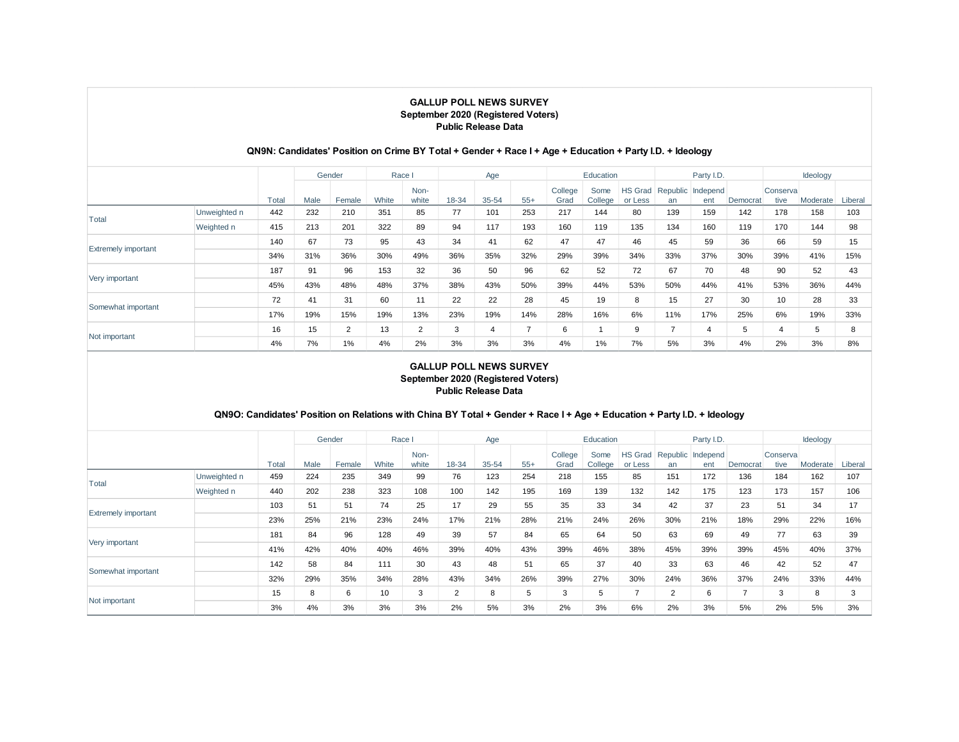## **QN9N: Candidates' Position on Crime BY Total + Gender + Race I + Age + Education + Party I.D. + Ideology**

|                            |              |       |      | Gender | Race I |               |       | Age   |               |                 | Education       |                           |     | Party I.D.               |          |                   | Ideology |         |
|----------------------------|--------------|-------|------|--------|--------|---------------|-------|-------|---------------|-----------------|-----------------|---------------------------|-----|--------------------------|----------|-------------------|----------|---------|
|                            |              | Total | Male | Female | White  | Non-<br>white | 18-34 | 35-54 | $55+$         | College<br>Grad | Some<br>College | <b>HS Grad</b><br>or Less | an  | Republic Independ<br>ent | Democrat | Conserval<br>tive | Moderate | Liberal |
| Total                      | Unweighted n | 442   | 232  | 210    | 351    | 85            | 77    | 101   | 253           | 217             | 144             | 80                        | 139 | 159                      | 142      | 178               | 158      | 103     |
|                            | Weighted n   | 415   | 213  | 201    | 322    | 89            | 94    | 117   | 193           | 160             | 119             | 135                       | 134 | 160                      | 119      | 170               | 144      | 98      |
|                            |              | 140   | 67   | 73     | 95     | 43            | 34    | 41    | 62            | 47              | 47              | 46                        | 45  | 59                       | 36       | 66                | 59       | 15      |
| <b>Extremely important</b> |              | 34%   | 31%  | 36%    | 30%    | 49%           | 36%   | 35%   | 32%           | 29%             | 39%             | 34%                       | 33% | 37%                      | 30%      | 39%               | 41%      | 15%     |
|                            |              | 187   | 91   | 96     | 153    | 32            | 36    | 50    | 96            | 62              | 52              | 72                        | 67  | 70                       | 48       | 90                | 52       | 43      |
| Very important             |              | 45%   | 43%  | 48%    | 48%    | 37%           | 38%   | 43%   | 50%           | 39%             | 44%             | 53%                       | 50% | 44%                      | 41%      | 53%               | 36%      | 44%     |
|                            |              | 72    | 41   | 31     | 60     | 11            | 22    | 22    | 28            | 45              | 19              | 8                         | 15  | 27                       | 30       | 10                | 28       | 33      |
| Somewhat important         |              | 17%   | 19%  | 15%    | 19%    | 13%           | 23%   | 19%   | 14%           | 28%             | 16%             | 6%                        | 11% | 17%                      | 25%      | 6%                | 19%      | 33%     |
| Not important              |              | 16    | 15   | 2      | 13     | 2             | 3     | 4     | $\rightarrow$ | 6               |                 | 9                         |     | 4                        | 5        | $\overline{4}$    | 5        | 8       |
|                            |              | 4%    | 7%   | 1%     | 4%     | 2%            | 3%    | 3%    | 3%            | 4%              | 1%              | 7%                        | 5%  | 3%                       | 4%       | 2%                | 3%       | 8%      |

### **GALLUP POLL NEWS SURVEY September 2020 (Registered Voters) Public Release Data**

## **QN9O: Candidates' Position on Relations with China BY Total + Gender + Race I + Age + Education + Party I.D. + Ideology**

|                            |              |       |      | Gender | Race I |               |                | Age   |       |                 | Education       |                           |     | Party I.D.               |          |                   | Ideology |         |
|----------------------------|--------------|-------|------|--------|--------|---------------|----------------|-------|-------|-----------------|-----------------|---------------------------|-----|--------------------------|----------|-------------------|----------|---------|
|                            |              | Total | Male | Female | White  | Non-<br>white | 18-34          | 35-54 | $55+$ | College<br>Grad | Some<br>College | <b>HS Grad</b><br>or Less | an  | Republic Independ<br>ent | Democrat | Conserval<br>tive | Moderate | Liberal |
| Total                      | Unweighted n | 459   | 224  | 235    | 349    | 99            | 76             | 123   | 254   | 218             | 155             | 85                        | 151 | 172                      | 136      | 184               | 162      | 107     |
|                            | Weighted n   | 440   | 202  | 238    | 323    | 108           | 100            | 142   | 195   | 169             | 139             | 132                       | 142 | 175                      | 123      | 173               | 157      | 106     |
|                            |              | 103   | 51   | 51     | 74     | 25            | 17             | 29    | 55    | 35              | 33              | 34                        | 42  | 37                       | 23       | 51                | 34       | 17      |
| <b>Extremely important</b> |              | 23%   | 25%  | 21%    | 23%    | 24%           | 17%            | 21%   | 28%   | 21%             | 24%             | 26%                       | 30% | 21%                      | 18%      | 29%               | 22%      | 16%     |
|                            |              | 181   | 84   | 96     | 128    | 49            | 39             | 57    | 84    | 65              | 64              | 50                        | 63  | 69                       | 49       | 77                | 63       | 39      |
| Very important             |              | 41%   | 42%  | 40%    | 40%    | 46%           | 39%            | 40%   | 43%   | 39%             | 46%             | 38%                       | 45% | 39%                      | 39%      | 45%               | 40%      | 37%     |
|                            |              | 142   | 58   | 84     | 111    | 30            | 43             | 48    | 51    | 65              | 37              | 40                        | 33  | 63                       | 46       | 42                | 52       | 47      |
| Somewhat important         |              | 32%   | 29%  | 35%    | 34%    | 28%           | 43%            | 34%   | 26%   | 39%             | 27%             | 30%                       | 24% | 36%                      | 37%      | 24%               | 33%      | 44%     |
|                            |              | 15    | 8    | 6      | 10     | 3             | $\overline{2}$ | 8     | 5     | 3               | 5               | -                         | 2   | 6                        |          | 3                 | 8        |         |
| Not important              |              | 3%    | 4%   | 3%     | 3%     | 3%            | 2%             | 5%    | 3%    | 2%              | 3%              | 6%                        | 2%  | 3%                       | 5%       | 2%                | 5%       | 3%      |